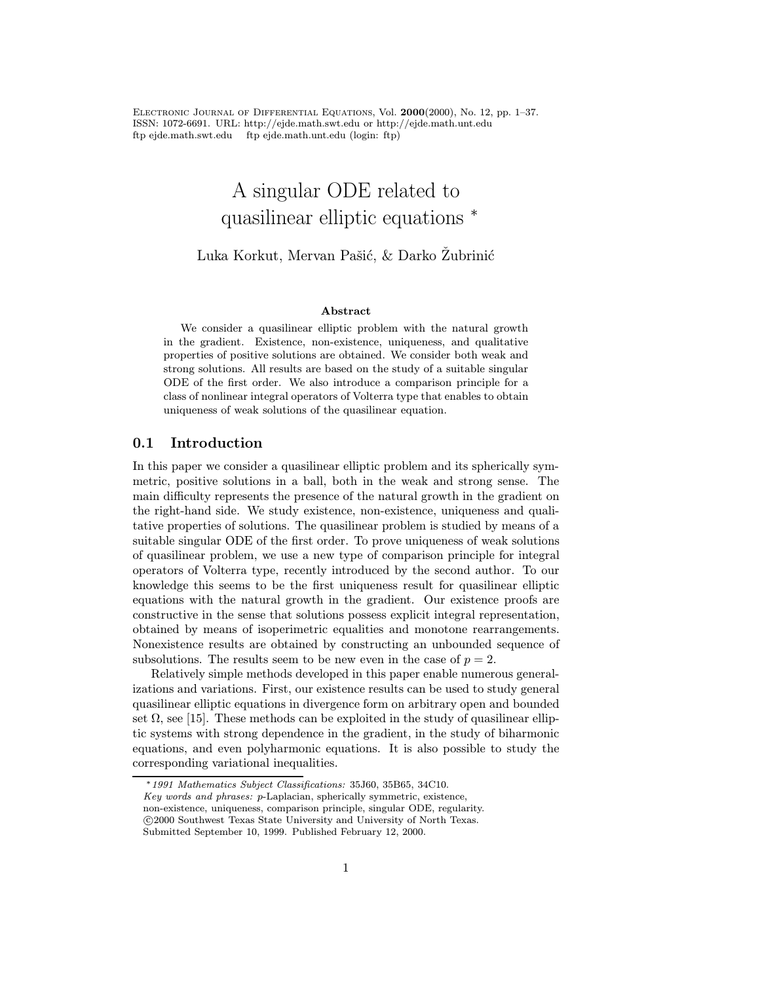Electronic Journal of Differential Equations, Vol. 2000(2000), No. 12, pp. 1–37. ISSN: 1072-6691. URL: http://ejde.math.swt.edu or http://ejde.math.unt.edu ftp ejde.math.swt.edu ftp ejde.math.unt.edu (login: ftp)

# A singular ODE related to quasilinear elliptic equations  $*$

# Luka Korkut, Mervan Pašić, & Darko Žubrinić

#### Abstract

We consider a quasilinear elliptic problem with the natural growth in the gradient. Existence, non-existence, uniqueness, and qualitative properties of positive solutions are obtained. We consider both weak and strong solutions. All results are based on the study of a suitable singular ODE of the first order. We also introduce a comparison principle for a class of nonlinear integral operators of Volterra type that enables to obtain uniqueness of weak solutions of the quasilinear equation.

# 0.1 Introduction

In this paper we consider a quasilinear elliptic problem and its spherically symmetric, positive solutions in a ball, both in the weak and strong sense. The main difficulty represents the presence of the natural growth in the gradient on the right-hand side. We study existence, non-existence, uniqueness and qualitative properties of solutions. The quasilinear problem is studied by means of a suitable singular ODE of the first order. To prove uniqueness of weak solutions of quasilinear problem, we use a new type of comparison principle for integral operators of Volterra type, recently introduced by the second author. To our knowledge this seems to be the first uniqueness result for quasilinear elliptic equations with the natural growth in the gradient. Our existence proofs are constructive in the sense that solutions possess explicit integral representation, obtained by means of isoperimetric equalities and monotone rearrangements. Nonexistence results are obtained by constructing an unbounded sequence of subsolutions. The results seem to be new even in the case of  $p = 2$ .

Relatively simple methods developed in this paper enable numerous generalizations and variations. First, our existence results can be used to study general quasilinear elliptic equations in divergence form on arbitrary open and bounded set  $\Omega$ , see [15]. These methods can be exploited in the study of quasilinear elliptic systems with strong dependence in the gradient, in the study of biharmonic equations, and even polyharmonic equations. It is also possible to study the corresponding variational inequalities.

<sup>∗</sup>1991 Mathematics Subject Classifications: 35J60, 35B65, 34C10. Key words and phrases: p-Laplacian, spherically symmetric, existence,

non-existence, uniqueness, comparison principle, singular ODE, regularity.

c 2000 Southwest Texas State University and University of North Texas.

Submitted September 10, 1999. Published February 12, 2000.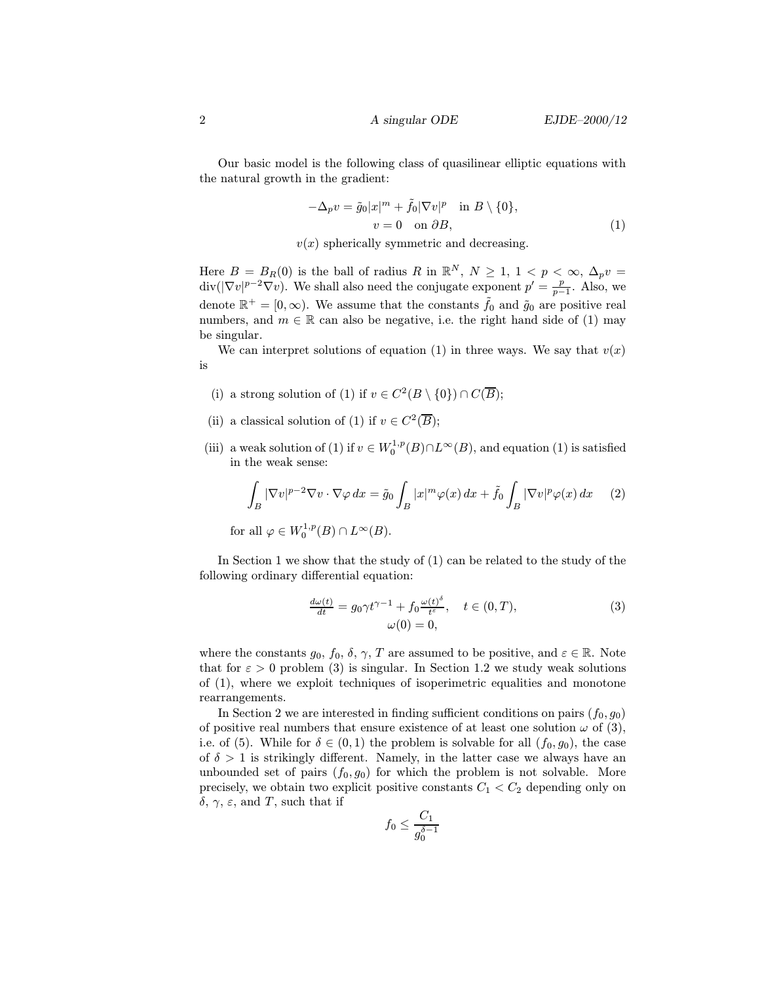Our basic model is the following class of quasilinear elliptic equations with the natural growth in the gradient:

$$
-\Delta_p v = \tilde{g}_0 |x|^m + \tilde{f}_0 |\nabla v|^p \quad \text{in } B \setminus \{0\},
$$
  
\n
$$
v = 0 \quad \text{on } \partial B,
$$
 (1)

 $v(x)$  spherically symmetric and decreasing.

Here  $B = B_R(0)$  is the ball of radius R in  $\mathbb{R}^N$ ,  $N \ge 1$ ,  $1 < p < \infty$ ,  $\Delta_p v =$  $\text{div}(|\nabla v|^{p-2}\nabla v)$ . We shall also need the conjugate exponent  $p' = \frac{p}{p-1}$ . Also, we denote  $\mathbb{R}^+ = [0, \infty)$ . We assume that the constants  $\tilde{f}_0$  and  $\tilde{g}_0$  are positive real numbers, and  $m \in \mathbb{R}$  can also be negative, i.e. the right hand side of (1) may be singular.

We can interpret solutions of equation (1) in three ways. We say that  $v(x)$ is

- (i) a strong solution of (1) if  $v \in C^2(B \setminus \{0\}) \cap C(\overline{B});$
- (ii) a classical solution of (1) if  $v \in C^2(\overline{B});$
- (iii) a weak solution of (1) if  $v \in W_0^{1,p}(B) \cap L^{\infty}(B)$ , and equation (1) is satisfied in the weak sense:

$$
\int_{B} |\nabla v|^{p-2} \nabla v \cdot \nabla \varphi \, dx = \tilde{g}_0 \int_{B} |x|^m \varphi(x) \, dx + \tilde{f}_0 \int_{B} |\nabla v|^p \varphi(x) \, dx \qquad (2)
$$
\n
$$
\text{for all } \varphi \in W_0^{1,p}(B) \cap L^\infty(B).
$$

In Section 1 we show that the study of (1) can be related to the study of the following ordinary differential equation:

$$
\frac{d\omega(t)}{dt} = g_0 \gamma t^{\gamma - 1} + f_0 \frac{\omega(t)^{\delta}}{t^{\varepsilon}}, \quad t \in (0, T),
$$
  

$$
\omega(0) = 0,
$$
 (3)

where the constants  $g_0, f_0, \delta, \gamma, T$  are assumed to be positive, and  $\varepsilon \in \mathbb{R}$ . Note that for  $\varepsilon > 0$  problem (3) is singular. In Section 1.2 we study weak solutions of (1), where we exploit techniques of isoperimetric equalities and monotone rearrangements.

In Section 2 we are interested in finding sufficient conditions on pairs  $(f_0, g_0)$ of positive real numbers that ensure existence of at least one solution  $\omega$  of (3), i.e. of (5). While for  $\delta \in (0,1)$  the problem is solvable for all  $(f_0, g_0)$ , the case of  $\delta > 1$  is strikingly different. Namely, in the latter case we always have an unbounded set of pairs  $(f_0, g_0)$  for which the problem is not solvable. More precisely, we obtain two explicit positive constants  $C_1 < C_2$  depending only on  $\delta$ ,  $\gamma$ ,  $\varepsilon$ , and T, such that if

$$
f_0 \le \frac{C_1}{g_0^{\delta - 1}}
$$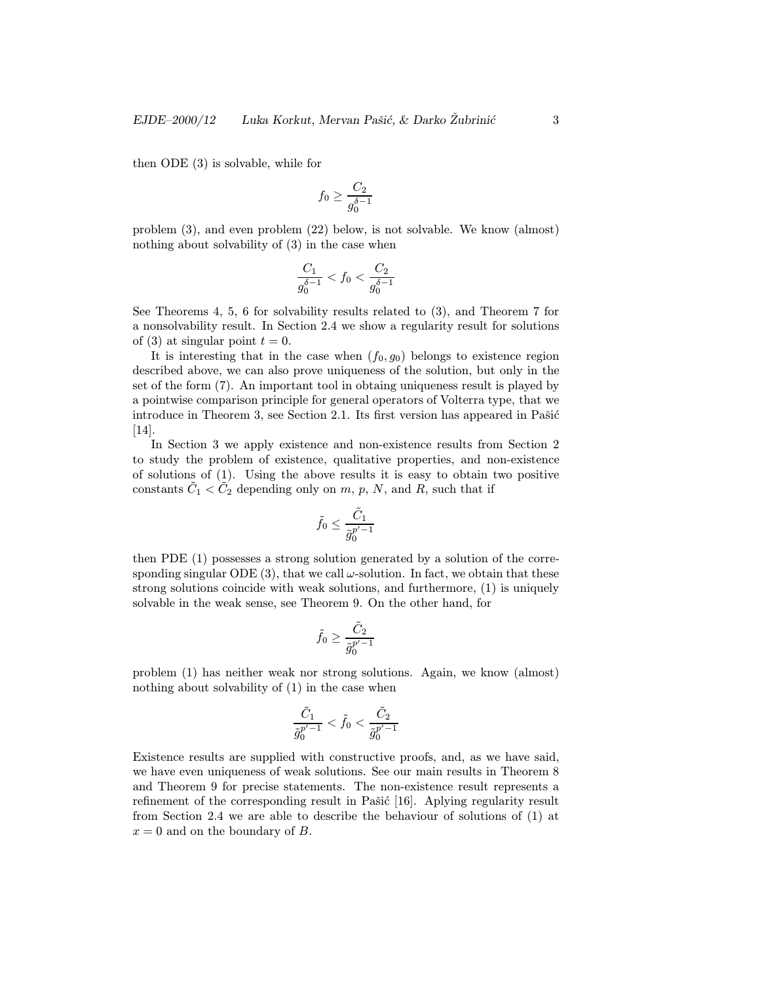then ODE (3) is solvable, while for

$$
f_0 \geq \frac{C_2}{g_0^{\delta-1}}
$$

problem (3), and even problem (22) below, is not solvable. We know (almost) nothing about solvability of (3) in the case when

$$
\frac{C_1}{g_0^{\delta-1}} < f_0 < \frac{C_2}{g_0^{\delta-1}}
$$

See Theorems 4, 5, 6 for solvability results related to (3), and Theorem 7 for a nonsolvability result. In Section 2.4 we show a regularity result for solutions of (3) at singular point  $t = 0$ .

It is interesting that in the case when  $(f_0, g_0)$  belongs to existence region described above, we can also prove uniqueness of the solution, but only in the set of the form (7). An important tool in obtaing uniqueness result is played by a pointwise comparison principle for general operators of Volterra type, that we introduce in Theorem 3, see Section 2.1. Its first version has appeared in Pašić [14].

In Section 3 we apply existence and non-existence results from Section 2 to study the problem of existence, qualitative properties, and non-existence of solutions of (1). Using the above results it is easy to obtain two positive constants  $C_1 < C_2$  depending only on m, p, N, and R, such that if

$$
\tilde{f}_0 \leq \frac{\tilde{C}_1}{\tilde{g}_0^{p'-1}}
$$

then PDE (1) possesses a strong solution generated by a solution of the corresponding singular ODE (3), that we call  $\omega$ -solution. In fact, we obtain that these strong solutions coincide with weak solutions, and furthermore, (1) is uniquely solvable in the weak sense, see Theorem 9. On the other hand, for

$$
\tilde{f}_0 \geq \frac{\tilde{C}_2}{\tilde{g}_0^{p'-1}}
$$

problem (1) has neither weak nor strong solutions. Again, we know (almost) nothing about solvability of (1) in the case when

$$
\frac{\tilde{C}_1}{\tilde{g}_0^{p'-1}} < \tilde{f}_0 < \frac{\tilde{C}_2}{\tilde{g}_0^{p'-1}}
$$

Existence results are supplied with constructive proofs, and, as we have said, we have even uniqueness of weak solutions. See our main results in Theorem 8 and Theorem 9 for precise statements. The non-existence result represents a refinement of the corresponding result in Pašić  $[16]$ . Aplying regularity result from Section 2.4 we are able to describe the behaviour of solutions of (1) at  $x = 0$  and on the boundary of B.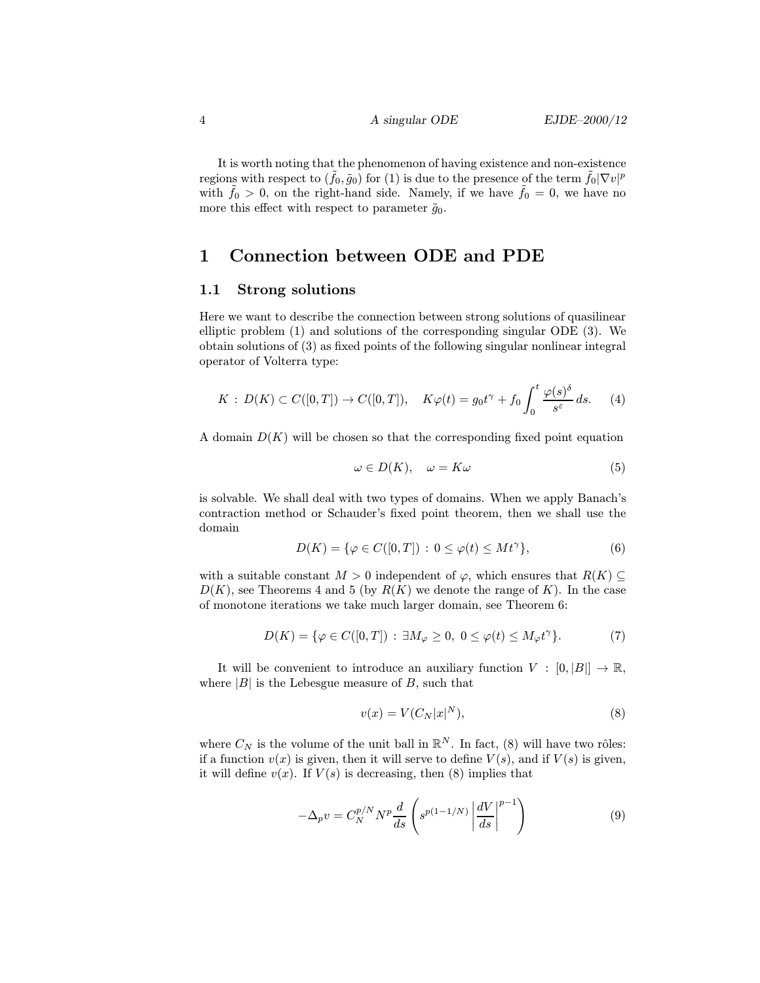It is worth noting that the phenomenon of having existence and non-existence regions with respect to  $(\tilde{f}_0, \tilde{g}_0)$  for (1) is due to the presence of the term  $\tilde{f}_0 |\nabla v|^p$ with  $f_0 > 0$ , on the right-hand side. Namely, if we have  $f_0 = 0$ , we have no more this effect with respect to parameter  $\tilde{g}_0$ .

# 1 Connection between ODE and PDE

### 1.1 Strong solutions

Here we want to describe the connection between strong solutions of quasilinear elliptic problem (1) and solutions of the corresponding singular ODE (3). We obtain solutions of (3) as fixed points of the following singular nonlinear integral operator of Volterra type:

$$
K: D(K) \subset C([0,T]) \to C([0,T]), \quad K\varphi(t) = g_0 t^{\gamma} + f_0 \int_0^t \frac{\varphi(s)^{\delta}}{s^{\varepsilon}} ds. \tag{4}
$$

A domain  $D(K)$  will be chosen so that the corresponding fixed point equation

$$
\omega \in D(K), \quad \omega = K\omega \tag{5}
$$

is solvable. We shall deal with two types of domains. When we apply Banach's contraction method or Schauder's fixed point theorem, then we shall use the domain

$$
D(K) = \{ \varphi \in C([0, T]) : 0 \le \varphi(t) \le Mt^{\gamma} \},\tag{6}
$$

with a suitable constant  $M > 0$  independent of  $\varphi$ , which ensures that  $R(K) \subset$  $D(K)$ , see Theorems 4 and 5 (by  $R(K)$ ) we denote the range of K). In the case of monotone iterations we take much larger domain, see Theorem 6:

$$
D(K) = \{ \varphi \in C([0, T]) : \exists M_{\varphi} \ge 0, 0 \le \varphi(t) \le M_{\varphi} t^{\gamma} \}. \tag{7}
$$

It will be convenient to introduce an auxiliary function  $V : [0, |B|] \to \mathbb{R}$ , where  $|B|$  is the Lebesgue measure of B, such that

$$
v(x) = V(C_N |x|^N),\tag{8}
$$

where  $C_N$  is the volume of the unit ball in  $\mathbb{R}^N$ . In fact, (8) will have two rôles: if a function  $v(x)$  is given, then it will serve to define  $V(s)$ , and if  $V(s)$  is given, it will define  $v(x)$ . If  $V(s)$  is decreasing, then (8) implies that

$$
-\Delta_p v = C_N^{p/N} N^p \frac{d}{ds} \left( s^{p(1-1/N)} \left| \frac{dV}{ds} \right|^{p-1} \right) \tag{9}
$$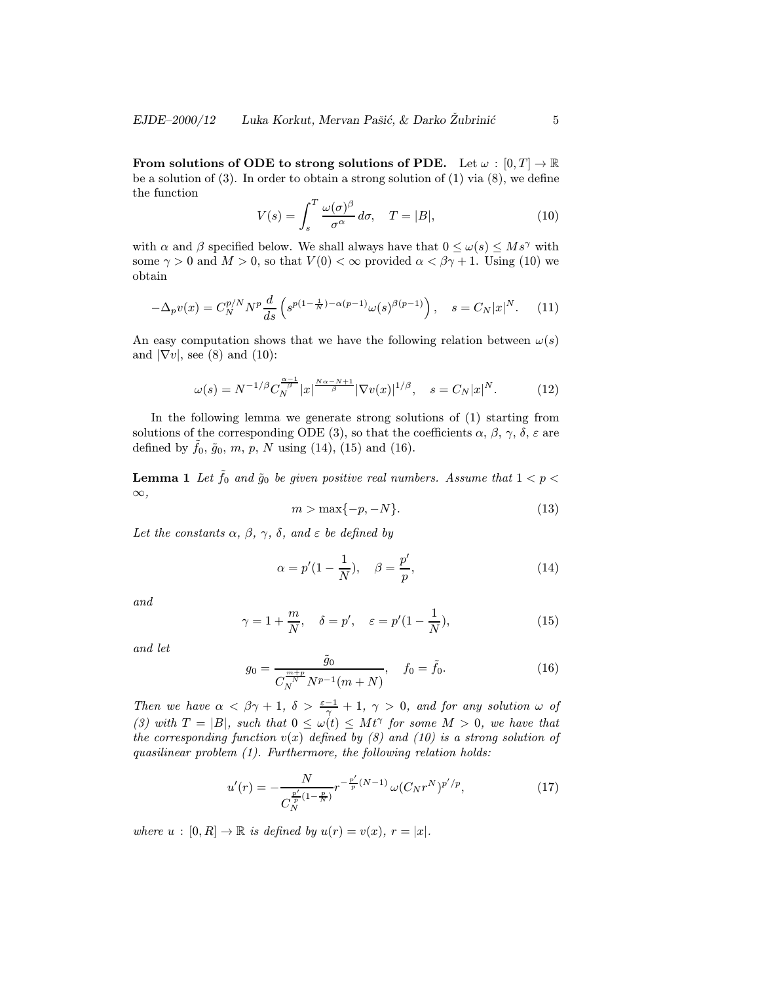From solutions of ODE to strong solutions of PDE. Let  $\omega : [0, T] \to \mathbb{R}$ be a solution of (3). In order to obtain a strong solution of (1) via (8), we define the function

$$
V(s) = \int_{s}^{T} \frac{\omega(\sigma)^{\beta}}{\sigma^{\alpha}} d\sigma, \quad T = |B|,
$$
\n(10)

with  $\alpha$  and  $\beta$  specified below. We shall always have that  $0 \leq \omega(s) \leq M s^{\gamma}$  with some  $\gamma > 0$  and  $M > 0$ , so that  $V(0) < \infty$  provided  $\alpha < \beta \gamma + 1$ . Using (10) we obtain

$$
-\Delta_p v(x) = C_N^{p/N} N^p \frac{d}{ds} \left( s^{p(1-\frac{1}{N}) - \alpha(p-1)} \omega(s)^{\beta(p-1)} \right), \quad s = C_N |x|^N. \tag{11}
$$

An easy computation shows that we have the following relation between  $\omega(s)$ and  $|\nabla v|$ , see (8) and (10):

$$
\omega(s) = N^{-1/\beta} C_N^{\frac{\alpha-1}{\beta}} |x|^{\frac{N\alpha-N+1}{\beta}} |\nabla v(x)|^{1/\beta}, \quad s = C_N |x|^N. \tag{12}
$$

In the following lemma we generate strong solutions of (1) starting from solutions of the corresponding ODE (3), so that the coefficients  $\alpha$ ,  $\beta$ ,  $\gamma$ ,  $\delta$ ,  $\varepsilon$  are defined by  $\tilde{f}_0$ ,  $\tilde{g}_0$ ,  $m$ ,  $p$ ,  $N$  using (14), (15) and (16).

**Lemma 1** Let  $\tilde{f}_0$  and  $\tilde{g}_0$  be given positive real numbers. Assume that  $1 < p <$  $\infty$ ,

$$
m > \max\{-p, -N\}.\tag{13}
$$

Let the constants  $\alpha$ ,  $\beta$ ,  $\gamma$ ,  $\delta$ , and  $\varepsilon$  be defined by

$$
\alpha = p'(1 - \frac{1}{N}), \quad \beta = \frac{p'}{p},\tag{14}
$$

and

$$
\gamma = 1 + \frac{m}{N}, \quad \delta = p', \quad \varepsilon = p'(1 - \frac{1}{N}), \tag{15}
$$

and let

$$
g_0 = \frac{\tilde{g}_0}{C_N^{\frac{m+p}{N}} N^{p-1} (m+N)}, \quad f_0 = \tilde{f}_0.
$$
 (16)

Then we have  $\alpha < \beta \gamma + 1$ ,  $\delta > \frac{\varepsilon - 1}{\gamma} + 1$ ,  $\gamma > 0$ , and for any solution  $\omega$  of (3) with  $T = |B|$ , such that  $0 \leq \omega(t) \leq Mt^{\gamma}$  for some  $M > 0$ , we have that the corresponding function  $v(x)$  defined by (8) and (10) is a strong solution of quasilinear problem (1). Furthermore, the following relation holds:

$$
u'(r) = -\frac{N}{C_N^{\frac{p'}{p}(1-\frac{p}{N})}} r^{-\frac{p'}{p}(N-1)} \omega(C_N r^N)^{p'/p},\tag{17}
$$

where  $u : [0, R] \to \mathbb{R}$  is defined by  $u(r) = v(x), r = |x|$ .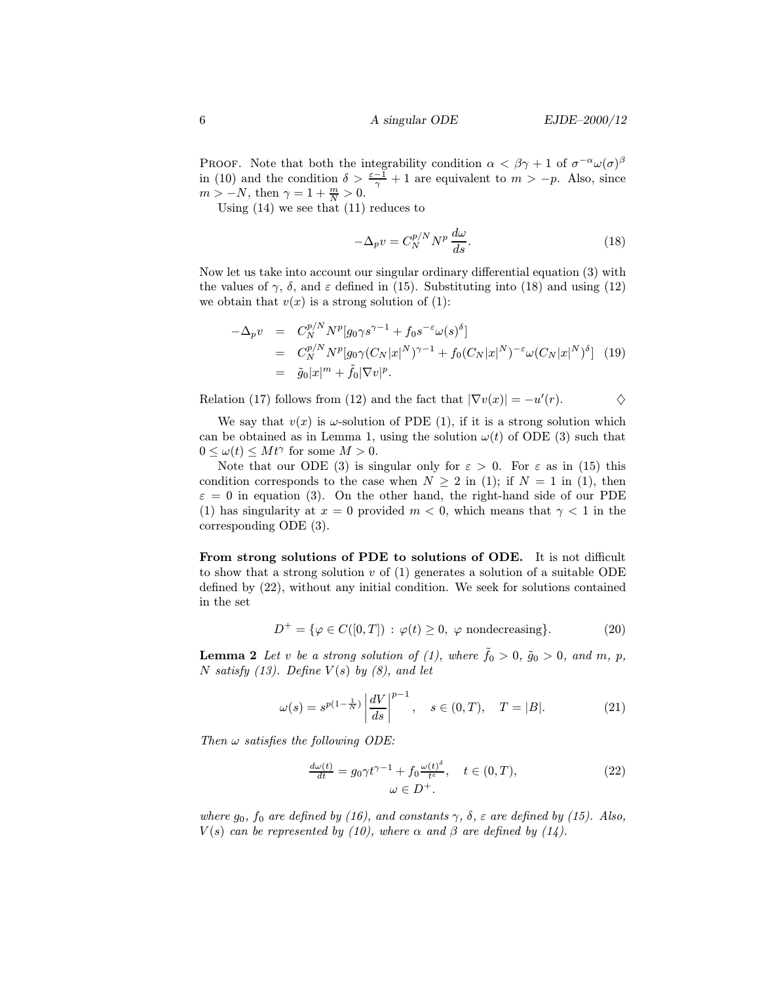PROOF. Note that both the integrability condition  $\alpha < \beta \gamma + 1$  of  $\sigma^{-\alpha} \omega(\sigma)^{\beta}$ in (10) and the condition  $\delta > \frac{\varepsilon - 1}{\gamma} + 1$  are equivalent to  $m > -p$ . Also, since  $m > -N$ , then  $\gamma = 1 + \frac{m}{N} > 0$ .

Using  $(14)$  we see that  $(11)$  reduces to

$$
-\Delta_p v = C_N^{p/N} N^p \frac{d\omega}{ds}.
$$
\n(18)

Now let us take into account our singular ordinary differential equation (3) with the values of  $\gamma$ ,  $\delta$ , and  $\varepsilon$  defined in (15). Substituting into (18) and using (12) we obtain that  $v(x)$  is a strong solution of (1):

$$
-\Delta_p v = C_N^{p/N} N^p [g_0 \gamma s^{\gamma - 1} + f_0 s^{-\varepsilon} \omega(s)^\delta]
$$
  
=  $C_N^{p/N} N^p [g_0 \gamma (C_N |x|^N)^{\gamma - 1} + f_0 (C_N |x|^N)^{-\varepsilon} \omega (C_N |x|^N)^\delta]$  (19)  
=  $\tilde{g}_0 |x|^m + \tilde{f}_0 |\nabla v|^p$ .

Relation (17) follows from (12) and the fact that  $|\nabla v(x)| = -u'(r)$ .  $\diamondsuit$ 

We say that  $v(x)$  is  $\omega$ -solution of PDE (1), if it is a strong solution which can be obtained as in Lemma 1, using the solution  $\omega(t)$  of ODE (3) such that  $0 \leq \omega(t) \leq Mt^{\gamma}$  for some  $M > 0$ .

Note that our ODE (3) is singular only for  $\varepsilon > 0$ . For  $\varepsilon$  as in (15) this condition corresponds to the case when  $N > 2$  in (1); if  $N = 1$  in (1), then  $\varepsilon = 0$  in equation (3). On the other hand, the right-hand side of our PDE (1) has singularity at  $x = 0$  provided  $m < 0$ , which means that  $\gamma < 1$  in the corresponding ODE (3).

From strong solutions of PDE to solutions of ODE. It is not difficult to show that a strong solution  $v$  of (1) generates a solution of a suitable ODE defined by (22), without any initial condition. We seek for solutions contained in the set

$$
D^{+} = \{ \varphi \in C([0, T]) : \varphi(t) \ge 0, \varphi \text{ nondecreasing} \}. \tag{20}
$$

**Lemma 2** Let v be a strong solution of (1), where  $\tilde{f}_0 > 0$ ,  $\tilde{g}_0 > 0$ , and m, p, N satisfy (13). Define  $V(s)$  by (8), and let

$$
\omega(s) = s^{p(1-\frac{1}{N})} \left| \frac{dV}{ds} \right|^{p-1}, \quad s \in (0, T), \quad T = |B|.
$$
 (21)

Then  $\omega$  satisfies the following ODE:

$$
\frac{d\omega(t)}{dt} = g_0 \gamma t^{\gamma - 1} + f_0 \frac{\omega(t)^{\delta}}{t^{\varepsilon}}, \quad t \in (0, T),
$$
  

$$
\omega \in D^+.
$$
 (22)

where  $g_0$ ,  $f_0$  are defined by (16), and constants  $\gamma$ ,  $\delta$ ,  $\varepsilon$  are defined by (15). Also,  $V(s)$  can be represented by (10), where  $\alpha$  and  $\beta$  are defined by (14).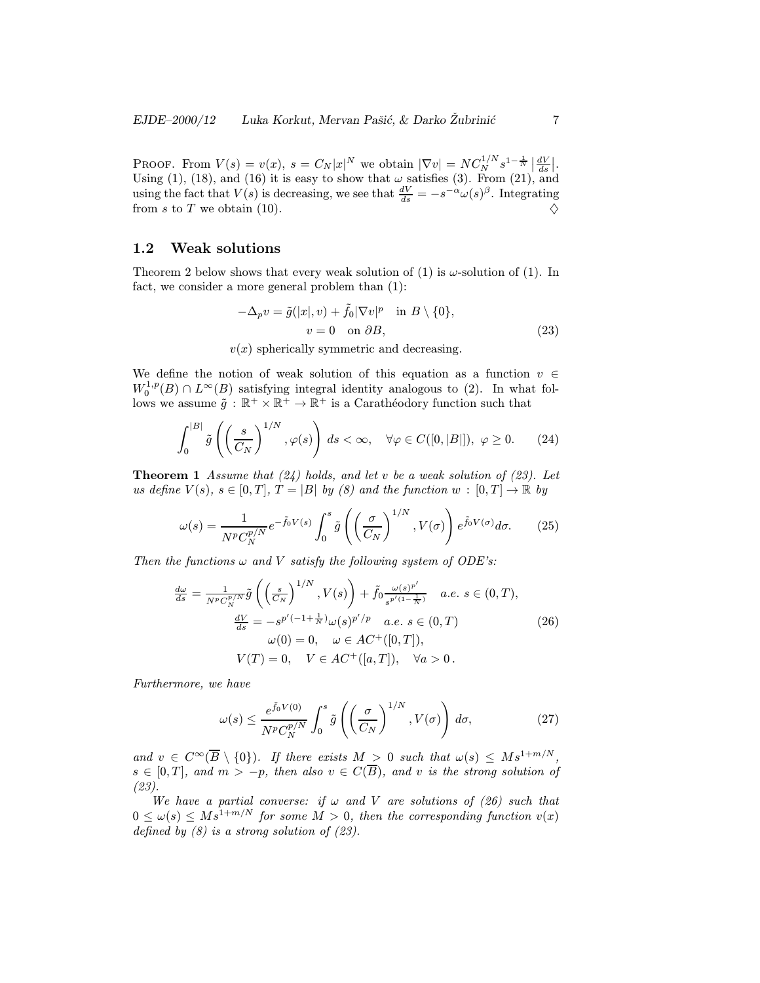PROOF. From  $V(s) = v(x)$ ,  $s = C_N |x|^N$  we obtain  $|\nabla v| = NC_N^{1/N} s^{1-\frac{1}{N}} \left| \frac{dV}{ds} \right|$ . Using (1), (18), and (16) it is easy to show that  $\omega$  satisfies (3). From (21), and using the fact that  $V(s)$  is decreasing, we see that  $\frac{dV}{ds} = -s^{-\alpha}\omega(s)^{\beta}$ . Integrating from s to T we obtain (10).

# 1.2 Weak solutions

Theorem 2 below shows that every weak solution of (1) is  $\omega$ -solution of (1). In fact, we consider a more general problem than (1):

$$
-\Delta_p v = \tilde{g}(|x|, v) + \tilde{f}_0 |\nabla v|^p \quad \text{in } B \setminus \{0\},
$$
  

$$
v = 0 \quad \text{on } \partial B,
$$
 (23)

 $v(x)$  spherically symmetric and decreasing.

We define the notion of weak solution of this equation as a function  $v \in$  $W_0^{1,p}(B) \cap L^{\infty}(B)$  satisfying integral identity analogous to (2). In what follows we assume  $\tilde{g} : \mathbb{R}^+ \times \mathbb{R}^+ \to \mathbb{R}^+$  is a Carathéodory function such that

$$
\int_0^{|B|} \tilde{g}\left(\left(\frac{s}{C_N}\right)^{1/N}, \varphi(s)\right) ds < \infty, \quad \forall \varphi \in C([0, |B|]), \ \varphi \ge 0. \tag{24}
$$

**Theorem 1** Assume that  $(24)$  holds, and let v be a weak solution of  $(23)$ . Let us define  $V(s)$ ,  $s \in [0, T]$ ,  $T = |B|$  by (8) and the function  $w : [0, T] \to \mathbb{R}$  by

$$
\omega(s) = \frac{1}{N^p C_N^{p/N}} e^{-\tilde{f}_0 V(s)} \int_0^s \tilde{g}\left(\left(\frac{\sigma}{C_N}\right)^{1/N}, V(\sigma)\right) e^{\tilde{f}_0 V(\sigma)} d\sigma.
$$
 (25)

Then the functions  $\omega$  and V satisfy the following system of ODE's:

$$
\frac{d\omega}{ds} = \frac{1}{N^p C_N^{p/N}} \tilde{g}\left( \left(\frac{s}{C_N}\right)^{1/N}, V(s) \right) + \tilde{f}_0 \frac{\omega(s)^{p'}}{s^{p'(1-\frac{1}{N})}} \quad a.e. \ s \in (0, T), \n\frac{dV}{ds} = -s^{p'(-1+\frac{1}{N})} \omega(s)^{p'/p} \quad a.e. \ s \in (0, T) \n\omega(0) = 0, \quad \omega \in AC^+([0, T]), \nV(T) = 0, \quad V \in AC^+([a, T]), \quad \forall a > 0.
$$
\n(26)

Furthermore, we have

$$
\omega(s) \le \frac{e^{\tilde{f}_0 V(0)}}{N^p C_N^{p/N}} \int_0^s \tilde{g}\left(\left(\frac{\sigma}{C_N}\right)^{1/N}, V(\sigma)\right) d\sigma, \tag{27}
$$

and  $v \in C^{\infty}(\overline{B} \setminus \{0\})$ . If there exists  $M > 0$  such that  $\omega(s) \leq M s^{1+m/N}$ ,  $s \in [0,T]$ , and  $m > -p$ , then also  $v \in C(\overline{B})$ , and v is the strong solution of (23).

We have a partial converse: if  $\omega$  and V are solutions of (26) such that  $0 \leq \omega(s) \leq M s^{1+m/N}$  for some  $M > 0$ , then the corresponding function  $v(x)$ defined by  $(8)$  is a strong solution of  $(23)$ .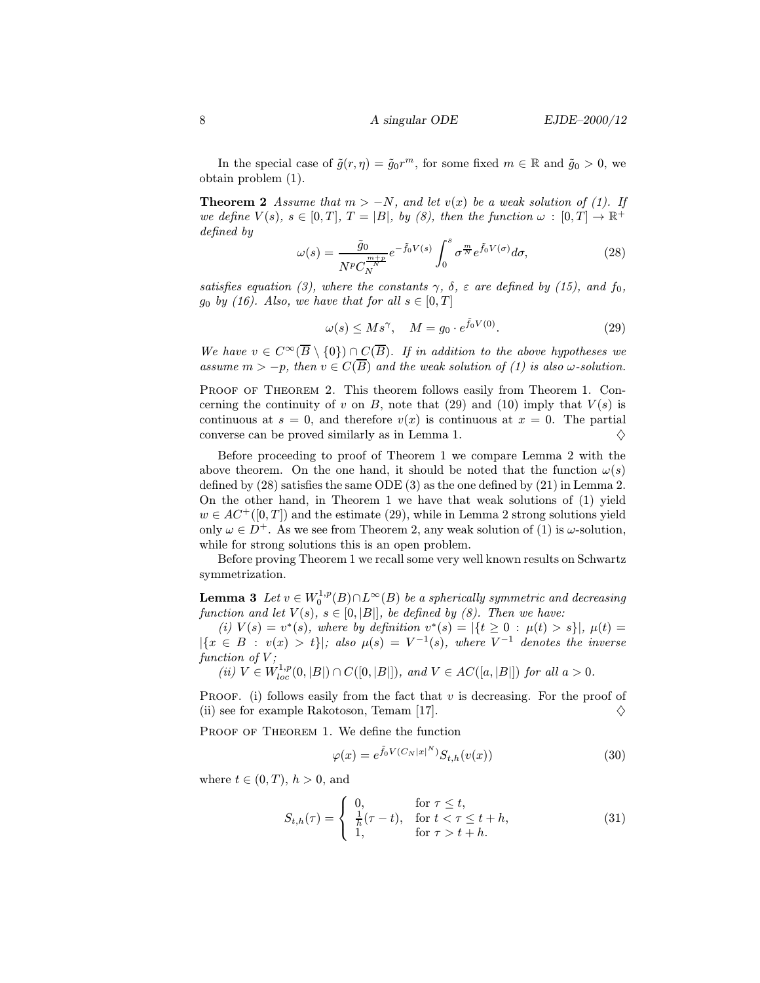In the special case of  $\tilde{g}(r, \eta) = \tilde{g}_0 r^m$ , for some fixed  $m \in \mathbb{R}$  and  $\tilde{g}_0 > 0$ , we obtain problem (1).

**Theorem 2** Assume that  $m > -N$ , and let  $v(x)$  be a weak solution of (1). If we define  $V(s)$ ,  $s \in [0, T]$ ,  $T = |B|$ , by  $(8)$ , then the function  $\omega : [0, T] \to \mathbb{R}^+$ defined by

$$
\omega(s) = \frac{\tilde{g}_0}{N^p C_N^{\frac{m+p}{N}}} e^{-\tilde{f}_0 V(s)} \int_0^s \sigma^{\frac{m}{N}} e^{\tilde{f}_0 V(\sigma)} d\sigma,\tag{28}
$$

satisfies equation (3), where the constants  $\gamma$ ,  $\delta$ ,  $\varepsilon$  are defined by (15), and  $f_0$ ,  $g_0$  by (16). Also, we have that for all  $s \in [0, T]$ 

$$
\omega(s) \le Ms^\gamma, \quad M = g_0 \cdot e^{\tilde{f}_0 V(0)}.
$$
\n(29)

We have  $v \in C^{\infty}(\overline{B} \setminus \{0\}) \cap C(\overline{B})$ . If in addition to the above hypotheses we assume  $m > -p$ , then  $v \in C(\overline{B})$  and the weak solution of (1) is also  $\omega$ -solution.

PROOF OF THEOREM 2. This theorem follows easily from Theorem 1. Concerning the continuity of v on B, note that (29) and (10) imply that  $V(s)$  is continuous at  $s = 0$ , and therefore  $v(x)$  is continuous at  $x = 0$ . The partial converse can be proved similarly as in Lemma 1.  $\Diamond$ 

Before proceeding to proof of Theorem 1 we compare Lemma 2 with the above theorem. On the one hand, it should be noted that the function  $\omega(s)$ defined by (28) satisfies the same ODE (3) as the one defined by (21) in Lemma 2. On the other hand, in Theorem 1 we have that weak solutions of (1) yield  $w \in AC^+([0,T])$  and the estimate (29), while in Lemma 2 strong solutions yield only  $\omega \in D^+$ . As we see from Theorem 2, any weak solution of (1) is  $\omega$ -solution, while for strong solutions this is an open problem.

Before proving Theorem 1 we recall some very well known results on Schwartz symmetrization.

**Lemma 3** Let  $v \in W_0^{1,p}(B) \cap L^{\infty}(B)$  be a spherically symmetric and decreasing function and let  $V(s)$ ,  $s \in [0, |B|]$ , be defined by (8). Then we have:

(i)  $V(s) = v^*(s)$ , where by definition  $v^*(s) = |\{t \geq 0 : \mu(t) > s\}|$ ,  $\mu(t) =$  $|\{x \in B : v(x) > t\}|$ ; also  $\mu(s) = V^{-1}(s)$ , where  $V^{-1}$  denotes the inverse function of  $V$ ;

(ii)  $V \in W^{1,p}_{loc}(0, |B|) \cap C([0, |B|]),$  and  $V \in AC([a, |B|])$  for all  $a > 0$ .

PROOF. (i) follows easily from the fact that  $v$  is decreasing. For the proof of (ii) see for example Rakotoson, Temam [17].  $\diamond$ 

PROOF OF THEOREM 1. We define the function

$$
\varphi(x) = e^{\tilde{f}_0 V(C_N |x|^N)} S_{t,h}(v(x)) \tag{30}
$$

where  $t \in (0, T)$ ,  $h > 0$ , and

$$
S_{t,h}(\tau) = \begin{cases} 0, & \text{for } \tau \le t, \\ \frac{1}{h}(\tau - t), & \text{for } t < \tau \le t + h, \\ 1, & \text{for } \tau > t + h. \end{cases} \tag{31}
$$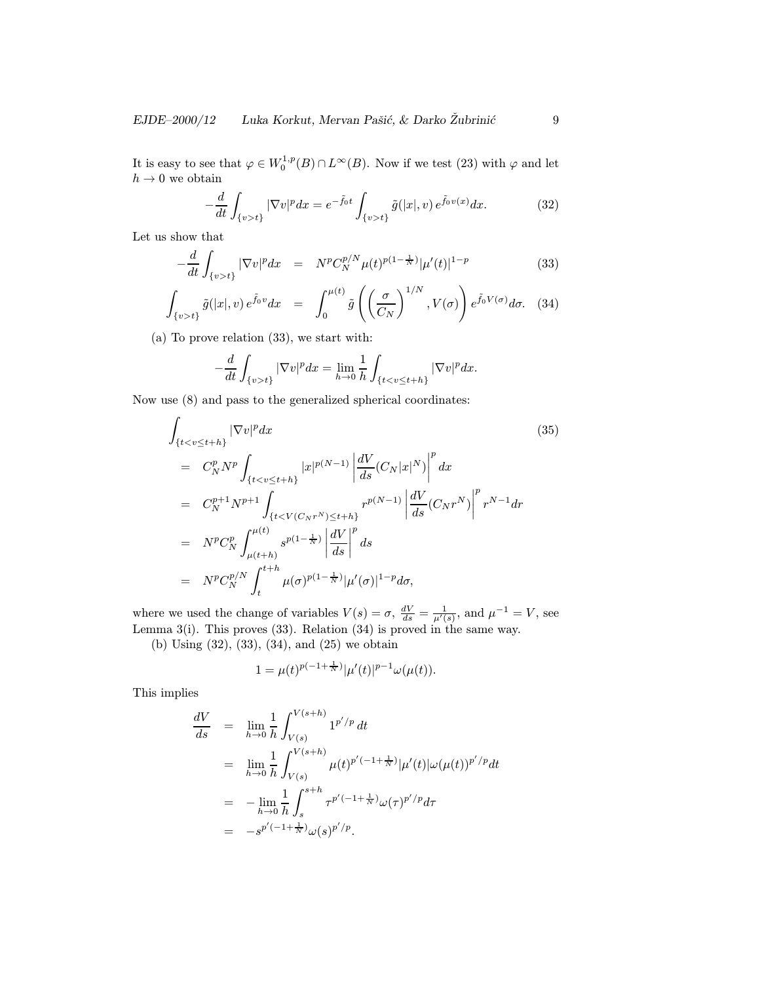It is easy to see that  $\varphi \in W_0^{1,p}(B) \cap L^{\infty}(B)$ . Now if we test (23) with  $\varphi$  and let  $h\to 0$  we obtain

$$
-\frac{d}{dt}\int_{\{v>t\}}|\nabla v|^p dx = e^{-\tilde{f}_0 t} \int_{\{v>t\}} \tilde{g}(|x|,v) e^{\tilde{f}_0 v(x)} dx.
$$
 (32)

Let us show that

$$
-\frac{d}{dt} \int_{\{v>t\}} |\nabla v|^p dx = N^p C_N^{p/N} \mu(t)^{p(1-\frac{1}{N})} |\mu'(t)|^{1-p} \tag{33}
$$

$$
\int_{\{v>t\}} \tilde{g}(|x|,v) e^{\tilde{f}_0 v} dx = \int_0^{\mu(t)} \tilde{g}\left(\left(\frac{\sigma}{C_N}\right)^{1/N}, V(\sigma)\right) e^{\tilde{f}_0 V(\sigma)} d\sigma. \quad (34)
$$

(a) To prove relation (33), we start with:

$$
-\frac{d}{dt}\int_{\{v>t\}}|\nabla v|^p dx = \lim_{h\to 0}\frac{1}{h}\int_{\{t
$$

Now use (8) and pass to the generalized spherical coordinates:

$$
\int_{\{t < v \leq t + h\}} |\nabla v|^p dx \tag{35}
$$
\n
$$
= C_N^p N^p \int_{\{t < v \leq t + h\}} |x|^{p(N-1)} \left| \frac{dV}{ds} (C_N |x|^N) \right|^p dx
$$
\n
$$
= C_N^{p+1} N^{p+1} \int_{\{t < V(C_N r^N) \leq t + h\}} r^{p(N-1)} \left| \frac{dV}{ds} (C_N r^N) \right|^p r^{N-1} dr
$$
\n
$$
= N^p C_N^p \int_{\mu(t+h)}^{\mu(t)} s^{p(1-\frac{1}{N})} \left| \frac{dV}{ds} \right|^p ds
$$
\n
$$
= N^p C_N^{p/N} \int_t^{t+h} \mu(\sigma)^{p(1-\frac{1}{N})} |\mu'(\sigma)|^{1-p} d\sigma,
$$
\n(35)

where we used the change of variables  $V(s) = \sigma$ ,  $\frac{dV}{ds} = \frac{1}{\mu'(s)}$ , and  $\mu^{-1} = V$ , see Lemma 3(i). This proves  $(33)$ . Relation  $(34)$  is proved in the same way.

(b) Using (32), (33), (34), and (25) we obtain

$$
1 = \mu(t)^{p(-1+\frac{1}{N})} |\mu'(t)|^{p-1} \omega(\mu(t)).
$$

This implies

$$
\frac{dV}{ds} = \lim_{h \to 0} \frac{1}{h} \int_{V(s)}^{V(s+h)} 1^{p'/p} dt
$$
  
\n
$$
= \lim_{h \to 0} \frac{1}{h} \int_{V(s)}^{V(s+h)} \mu(t)^{p'(-1+\frac{1}{N})} |\mu'(t)| \omega(\mu(t))^{p'/p} dt
$$
  
\n
$$
= -\lim_{h \to 0} \frac{1}{h} \int_{s}^{s+h} \tau^{p'(-1+\frac{1}{N})} \omega(\tau)^{p'/p} d\tau
$$
  
\n
$$
= -s^{p'(-1+\frac{1}{N})} \omega(s)^{p'/p}.
$$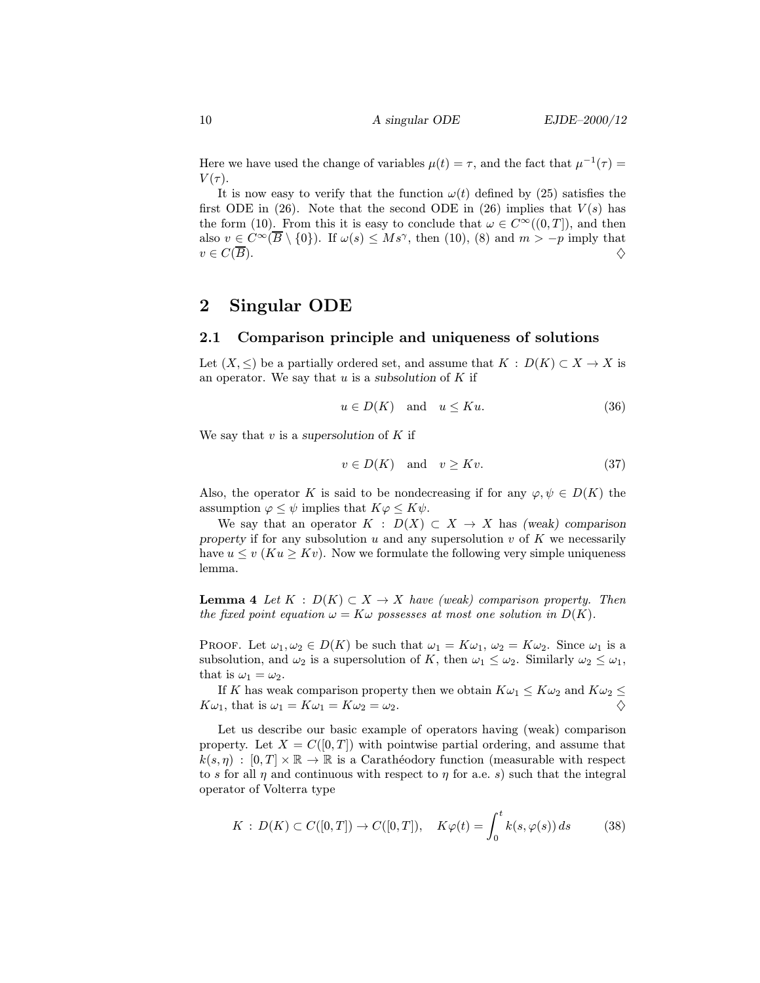Here we have used the change of variables  $\mu(t) = \tau$ , and the fact that  $\mu^{-1}(\tau) =$  $V(\tau)$ .

It is now easy to verify that the function  $\omega(t)$  defined by (25) satisfies the first ODE in (26). Note that the second ODE in (26) implies that  $V(s)$  has the form (10). From this it is easy to conclude that  $\omega \in C^{\infty}((0,T])$ , and then also  $v \in C^{\infty}(\overline{B} \setminus \{0\})$ . If  $\omega(s) \leq M s^{\gamma}$ , then (10), (8) and  $m > -p$  imply that  $v \in C(\overline{B}).$ 

# 2 Singular ODE

### 2.1 Comparison principle and uniqueness of solutions

Let  $(X, \leq)$  be a partially ordered set, and assume that  $K : D(K) \subset X \to X$  is an operator. We say that  $u$  is a subsolution of  $K$  if

$$
u \in D(K) \quad \text{and} \quad u \leq Ku. \tag{36}
$$

We say that  $v$  is a supersolution of  $K$  if

$$
v \in D(K) \quad \text{and} \quad v \geq Kv. \tag{37}
$$

Also, the operator K is said to be nondecreasing if for any  $\varphi, \psi \in D(K)$  the assumption  $\varphi \leq \psi$  implies that  $K\varphi \leq K\psi$ .

We say that an operator  $K : D(X) \subset X \to X$  has (weak) comparison property if for any subsolution  $u$  and any supersolution  $v$  of  $K$  we necessarily have  $u \le v$  ( $Ku \ge Kv$ ). Now we formulate the following very simple uniqueness lemma.

**Lemma 4** Let  $K : D(K) \subset X \to X$  have (weak) comparison property. Then the fixed point equation  $\omega = K\omega$  possesses at most one solution in  $D(K)$ .

**PROOF.** Let  $\omega_1, \omega_2 \in D(K)$  be such that  $\omega_1 = K\omega_1$ ,  $\omega_2 = K\omega_2$ . Since  $\omega_1$  is a subsolution, and  $\omega_2$  is a supersolution of K, then  $\omega_1 \leq \omega_2$ . Similarly  $\omega_2 \leq \omega_1$ , that is  $\omega_1 = \omega_2$ .

If K has weak comparison property then we obtain  $K\omega_1 \leq K\omega_2$  and  $K\omega_2 \leq$  $K\omega_1$ , that is  $\omega_1 = K\omega_1 = K\omega_2 = \omega_2$ .

Let us describe our basic example of operators having (weak) comparison property. Let  $X = C([0,T])$  with pointwise partial ordering, and assume that  $k(s, \eta) : [0, T] \times \mathbb{R} \to \mathbb{R}$  is a Carathéodory function (measurable with respect to s for all  $\eta$  and continuous with respect to  $\eta$  for a.e. s) such that the integral operator of Volterra type

$$
K : D(K) \subset C([0, T]) \to C([0, T]), \quad K\varphi(t) = \int_0^t k(s, \varphi(s)) ds \tag{38}
$$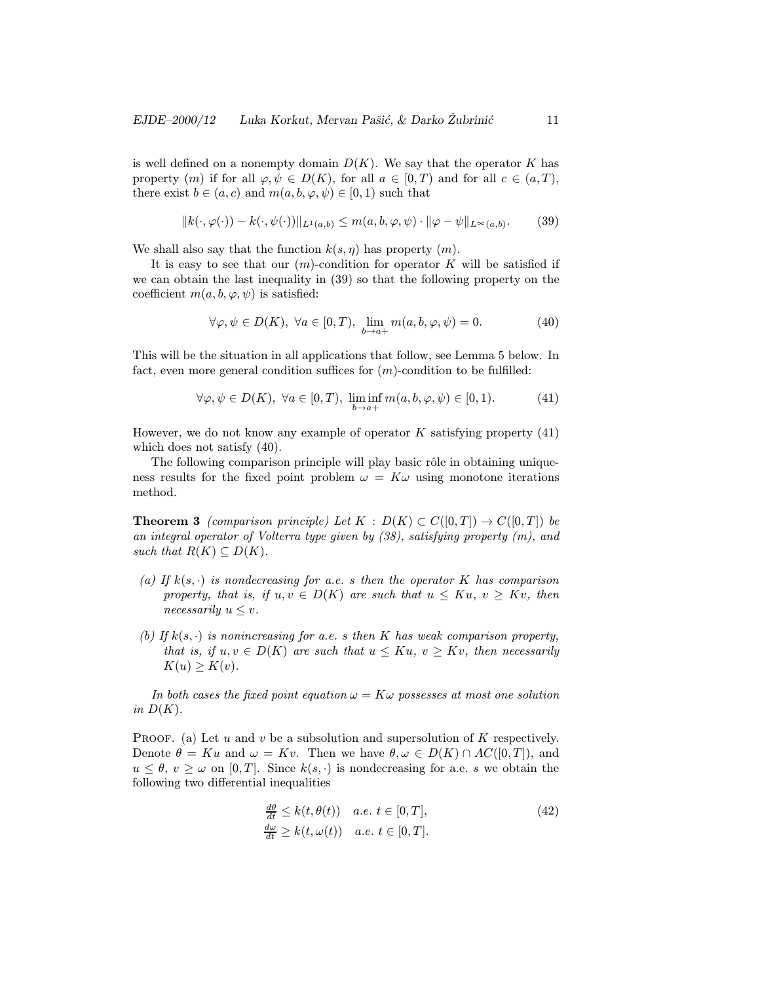is well defined on a nonempty domain  $D(K)$ . We say that the operator K has property  $(m)$  if for all  $\varphi, \psi \in D(K)$ , for all  $a \in [0, T)$  and for all  $c \in (a, T)$ , there exist  $b \in (a, c)$  and  $m(a, b, \varphi, \psi) \in [0, 1)$  such that

$$
||k(\cdot,\varphi(\cdot)) - k(\cdot,\psi(\cdot))||_{L^1(a,b)} \leq m(a,b,\varphi,\psi) \cdot ||\varphi - \psi||_{L^\infty(a,b)}.\tag{39}
$$

We shall also say that the function  $k(s, \eta)$  has property  $(m)$ .

It is easy to see that our  $(m)$ -condition for operator K will be satisfied if we can obtain the last inequality in (39) so that the following property on the coefficient  $m(a, b, \varphi, \psi)$  is satisfied:

$$
\forall \varphi, \psi \in D(K), \ \forall a \in [0, T), \ \lim_{b \to a+} m(a, b, \varphi, \psi) = 0. \tag{40}
$$

This will be the situation in all applications that follow, see Lemma 5 below. In fact, even more general condition suffices for  $(m)$ -condition to be fulfilled:

$$
\forall \varphi, \psi \in D(K), \ \forall a \in [0, T), \ \liminf_{b \to a+} m(a, b, \varphi, \psi) \in [0, 1). \tag{41}
$$

However, we do not know any example of operator  $K$  satisfying property  $(41)$ which does not satisfy (40).

The following comparison principle will play basic rôle in obtaining uniqueness results for the fixed point problem  $\omega = K \omega$  using monotone iterations method.

**Theorem 3** (comparison principle) Let  $K : D(K) \subset C([0,T]) \to C([0,T])$  be an integral operator of Volterra type given by (38), satisfying property (m), and such that  $R(K) \subseteq D(K)$ .

- (a) If  $k(s, \cdot)$  is nondecreasing for a.e. s then the operator K has comparison property, that is, if  $u, v \in D(K)$  are such that  $u \leq Ku, v \geq Kv$ , then necessarily  $u \leq v$ .
- (b) If  $k(s, \cdot)$  is nonincreasing for a.e. s then K has weak comparison property, that is, if  $u, v \in D(K)$  are such that  $u \leq Ku$ ,  $v \geq Kv$ , then necessarily  $K(u) \geq K(v)$ .

In both cases the fixed point equation  $\omega = K\omega$  possesses at most one solution in  $D(K)$ .

PROOF. (a) Let u and v be a subsolution and supersolution of K respectively. Denote  $\theta = Ku$  and  $\omega = Kv$ . Then we have  $\theta, \omega \in D(K) \cap AC([0,T])$ , and  $u \leq \theta, v \geq \omega$  on [0, T]. Since  $k(s, \cdot)$  is nondecreasing for a.e. s we obtain the following two differential inequalities

$$
\frac{\frac{d\theta}{dt}}{\frac{d\omega}{dt}} \le k(t, \theta(t)) \quad a.e. \ t \in [0, T],
$$
\n
$$
\frac{d\omega}{dt} \ge k(t, \omega(t)) \quad a.e. \ t \in [0, T].
$$
\n(42)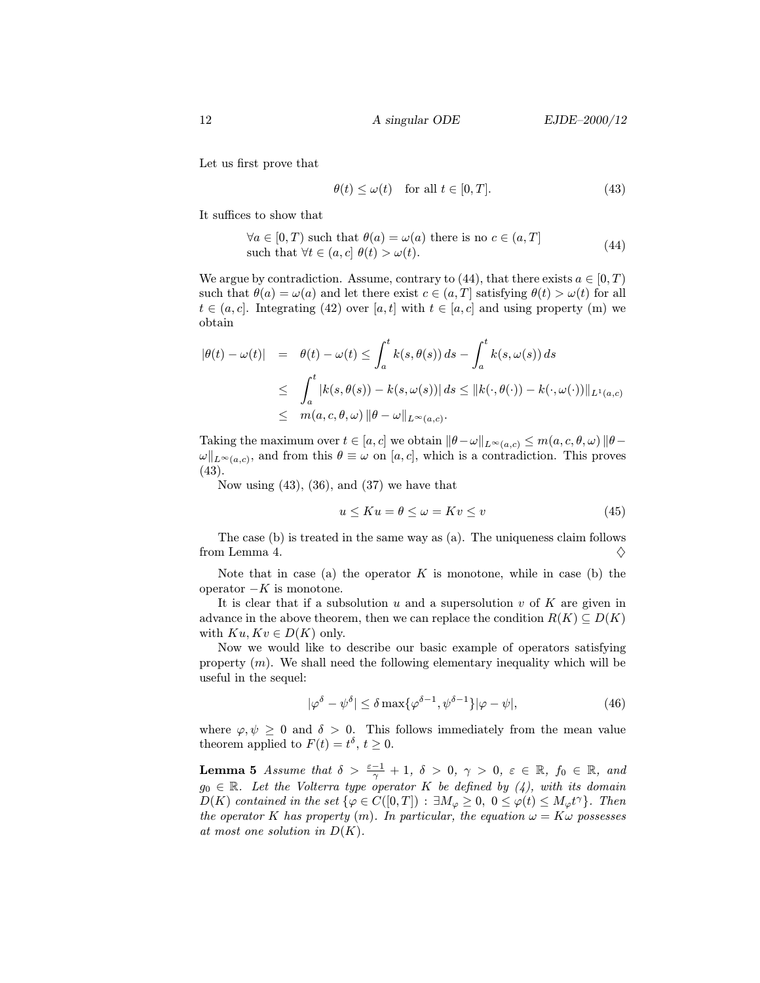Let us first prove that

$$
\theta(t) \le \omega(t) \quad \text{for all } t \in [0, T]. \tag{43}
$$

It suffices to show that

$$
\forall a \in [0, T) \text{ such that } \theta(a) = \omega(a) \text{ there is no } c \in (a, T]
$$
  
such that  $\forall t \in (a, c] \theta(t) > \omega(t)$ . (44)

We argue by contradiction. Assume, contrary to (44), that there exists  $a \in [0, T)$ such that  $\theta(a) = \omega(a)$  and let there exist  $c \in (a, T]$  satisfying  $\theta(t) > \omega(t)$  for all  $t \in (a, c]$ . Integrating (42) over [a, t] with  $t \in [a, c]$  and using property (m) we obtain

$$
|\theta(t) - \omega(t)| = \theta(t) - \omega(t) \le \int_a^t k(s, \theta(s)) ds - \int_a^t k(s, \omega(s)) ds
$$
  

$$
\le \int_a^t |k(s, \theta(s)) - k(s, \omega(s))| ds \le ||k(\cdot, \theta(\cdot)) - k(\cdot, \omega(\cdot))||_{L^1(a,c)}
$$
  

$$
\le m(a, c, \theta, \omega) ||\theta - \omega||_{L^{\infty}(a,c)}.
$$

Taking the maximum over  $t \in [a, c]$  we obtain  $\|\theta-\omega\|_{L^{\infty}(a, c)} \leq m(a, c, \theta, \omega) \|\theta-\theta\|$  $\omega\|_{L^{\infty}(a,c)}$ , and from this  $\theta \equiv \omega$  on [a, c], which is a contradiction. This proves (43).

Now using  $(43)$ ,  $(36)$ , and  $(37)$  we have that

$$
u \le Ku = \theta \le \omega = Kv \le v \tag{45}
$$

The case (b) is treated in the same way as (a). The uniqueness claim follows from Lemma 4.  $\diamondsuit$ 

Note that in case (a) the operator  $K$  is monotone, while in case (b) the operator  $-K$  is monotone.

It is clear that if a subsolution  $u$  and a supersolution  $v$  of  $K$  are given in advance in the above theorem, then we can replace the condition  $R(K) \subseteq D(K)$ with  $Ku, Kv \in D(K)$  only.

Now we would like to describe our basic example of operators satisfying property  $(m)$ . We shall need the following elementary inequality which will be useful in the sequel:

$$
|\varphi^{\delta} - \psi^{\delta}| \le \delta \max\{\varphi^{\delta - 1}, \psi^{\delta - 1}\}|\varphi - \psi|,\tag{46}
$$

where  $\varphi, \psi \geq 0$  and  $\delta > 0$ . This follows immediately from the mean value theorem applied to  $F(t) = t^{\delta}, t \geq 0$ .

**Lemma 5** Assume that  $\delta > \frac{\varepsilon - 1}{\gamma} + 1$ ,  $\delta > 0$ ,  $\gamma > 0$ ,  $\varepsilon \in \mathbb{R}$ ,  $f_0 \in \mathbb{R}$ , and  $g_0 \in \mathbb{R}$ . Let the Volterra type operator K be defined by (4), with its domain  $D(K)$  contained in the set  $\{\varphi \in C([0,T]) : \exists M_{\varphi} \geq 0, 0 \leq \varphi(t) \leq M_{\varphi} t^{\gamma}\}\.$  Then the operator K has property  $(m)$ . In particular, the equation  $\omega = K \omega$  possesses at most one solution in  $D(K)$ .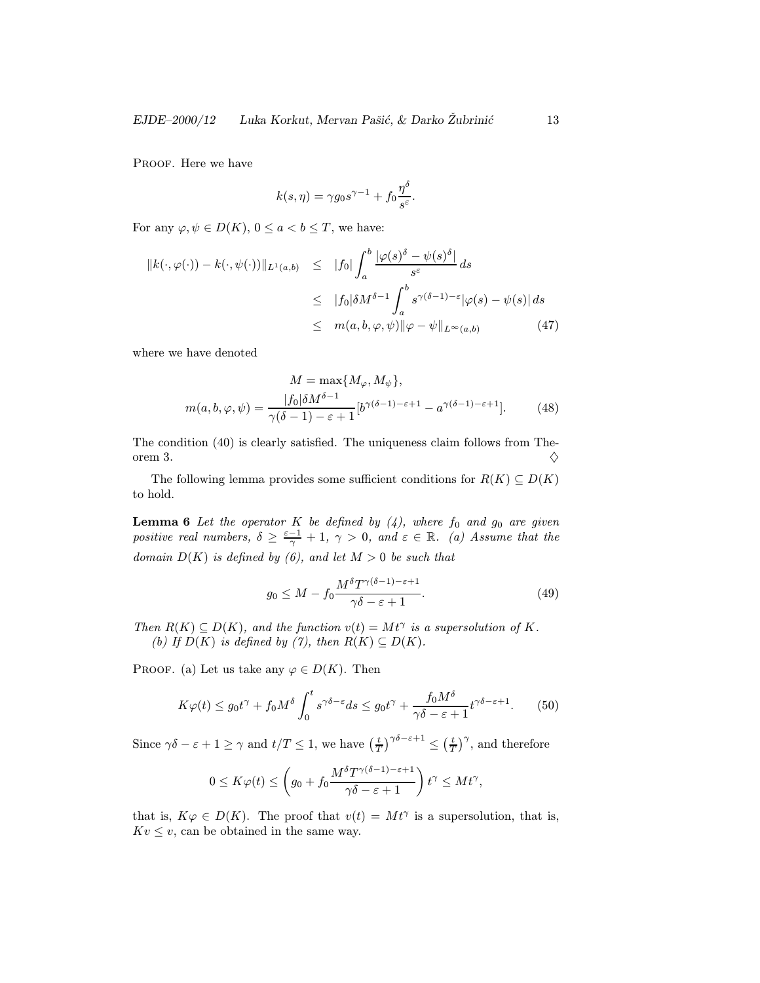PROOF. Here we have

$$
k(s,\eta) = \gamma g_0 s^{\gamma - 1} + f_0 \frac{\eta^{\delta}}{s^{\varepsilon}}.
$$

For any  $\varphi, \psi \in D(K)$ ,  $0 \le a < b \le T$ , we have:

$$
||k(\cdot,\varphi(\cdot)) - k(\cdot,\psi(\cdot))||_{L^1(a,b)} \leq |f_0| \int_a^b \frac{|\varphi(s)^\delta - \psi(s)^\delta|}{s^\varepsilon} ds
$$
  

$$
\leq |f_0|\delta M^{\delta-1} \int_a^b s^{\gamma(\delta-1) - \varepsilon} |\varphi(s) - \psi(s)| ds
$$
  

$$
\leq m(a,b,\varphi,\psi) ||\varphi - \psi||_{L^\infty(a,b)} \qquad (47)
$$

where we have denoted

$$
M = \max\{M_{\varphi}, M_{\psi}\},
$$
  

$$
m(a, b, \varphi, \psi) = \frac{|f_0|\delta M^{\delta - 1}}{\gamma(\delta - 1) - \varepsilon + 1} [b^{\gamma(\delta - 1) - \varepsilon + 1} - a^{\gamma(\delta - 1) - \varepsilon + 1}].
$$
 (48)

The condition (40) is clearly satisfied. The uniqueness claim follows from Theorem 3.  $\diamondsuit$ 

The following lemma provides some sufficient conditions for  $R(K) \subseteq D(K)$ to hold.

**Lemma 6** Let the operator K be defined by  $(4)$ , where  $f_0$  and  $g_0$  are given positive real numbers,  $\delta \geq \frac{\varepsilon - 1}{\gamma} + 1$ ,  $\gamma > 0$ , and  $\varepsilon \in \mathbb{R}$ . (a) Assume that the domain  $D(K)$  is defined by (6), and let  $M > 0$  be such that

$$
g_0 \le M - f_0 \frac{M^{\delta} T^{\gamma(\delta - 1) - \varepsilon + 1}}{\gamma \delta - \varepsilon + 1}.
$$
\n(49)

Then  $R(K) \subseteq D(K)$ , and the function  $v(t) = Mt^{\gamma}$  is a supersolution of K. (b) If  $D(K)$  is defined by (7), then  $R(K) \subseteq D(K)$ .

PROOF. (a) Let us take any  $\varphi \in D(K)$ . Then

$$
K\varphi(t) \le g_0 t^{\gamma} + f_0 M^{\delta} \int_0^t s^{\gamma \delta - \varepsilon} ds \le g_0 t^{\gamma} + \frac{f_0 M^{\delta}}{\gamma \delta - \varepsilon + 1} t^{\gamma \delta - \varepsilon + 1}.
$$
 (50)

Since  $\gamma \delta - \varepsilon + 1 \ge \gamma$  and  $t/T \le 1$ , we have  $\left(\frac{t}{T}\right)^{\gamma \delta - \varepsilon + 1} \le \left(\frac{t}{T}\right)^{\gamma}$ , and therefore

$$
0 \leq K\varphi(t) \leq \left(g_0 + f_0 \frac{M^{\delta} T^{\gamma(\delta-1)-\varepsilon+1}}{\gamma \delta - \varepsilon + 1}\right) t^{\gamma} \leq Mt^{\gamma},
$$

that is,  $K\varphi \in D(K)$ . The proof that  $v(t) = Mt^{\gamma}$  is a supersolution, that is,  $Kv \leq v$ , can be obtained in the same way.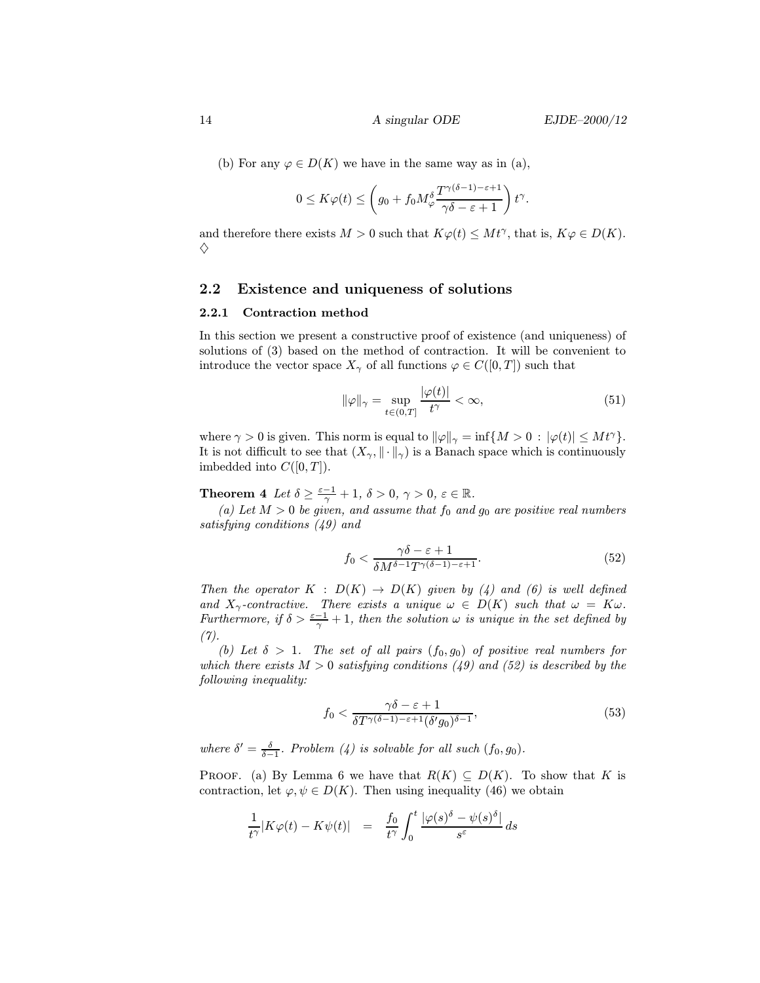(b) For any  $\varphi \in D(K)$  we have in the same way as in (a),

$$
0 \leq K\varphi(t) \leq \left(g_0 + f_0 M_{\varphi}^{\delta} \frac{T^{\gamma(\delta-1)-\varepsilon+1}}{\gamma \delta - \varepsilon + 1}\right) t^{\gamma}.
$$

and therefore there exists  $M > 0$  such that  $K\varphi(t) \leq Mt^{\gamma}$ , that is,  $K\varphi \in D(K)$ .  $\Diamond$ 

### 2.2 Existence and uniqueness of solutions

#### 2.2.1 Contraction method

In this section we present a constructive proof of existence (and uniqueness) of solutions of (3) based on the method of contraction. It will be convenient to introduce the vector space  $X_{\gamma}$  of all functions  $\varphi \in C([0, T])$  such that

$$
\|\varphi\|_{\gamma} = \sup_{t \in (0,T]} \frac{|\varphi(t)|}{t^{\gamma}} < \infty,
$$
\n(51)

where  $\gamma > 0$  is given. This norm is equal to  $\|\varphi\|_{\gamma} = \inf\{M > 0 : |\varphi(t)| \leq Mt^{\gamma}\}.$ It is not difficult to see that  $(X_{\gamma}, \|\cdot\|_{\gamma})$  is a Banach space which is continuously imbedded into  $C([0,T])$ .

**Theorem 4** Let  $\delta \geq \frac{\varepsilon-1}{\gamma} + 1$ ,  $\delta > 0$ ,  $\gamma > 0$ ,  $\varepsilon \in \mathbb{R}$ .

(a) Let  $M > 0$  be given, and assume that  $f_0$  and  $g_0$  are positive real numbers satisfying conditions (49) and

$$
f_0 < \frac{\gamma \delta - \varepsilon + 1}{\delta M^{\delta - 1} T^{\gamma (\delta - 1) - \varepsilon + 1}}.\tag{52}
$$

Then the operator  $K : D(K) \to D(K)$  given by (4) and (6) is well defined and  $X_{\gamma}$ -contractive. There exists a unique  $\omega \in D(K)$  such that  $\omega = K \omega$ . Furthermore, if  $\delta > \frac{\varepsilon - 1}{\gamma} + 1$ , then the solution  $\omega$  is unique in the set defined by (7).

(b) Let  $\delta > 1$ . The set of all pairs  $(f_0, g_0)$  of positive real numbers for which there exists  $M > 0$  satisfying conditions (49) and (52) is described by the following inequality:

$$
f_0 < \frac{\gamma \delta - \varepsilon + 1}{\delta T^{\gamma(\delta - 1) - \varepsilon + 1} (\delta' g_0)^{\delta - 1}},\tag{53}
$$

where  $\delta' = \frac{\delta}{\delta - 1}$ . Problem (4) is solvable for all such  $(f_0, g_0)$ .

PROOF. (a) By Lemma 6 we have that  $R(K) \subseteq D(K)$ . To show that K is contraction, let  $\varphi, \psi \in D(K)$ . Then using inequality (46) we obtain

$$
\frac{1}{t^{\gamma}}|K\varphi(t) - K\psi(t)| = \frac{f_0}{t^{\gamma}}\int_0^t \frac{|\varphi(s)^{\delta} - \psi(s)^{\delta}|}{s^{\varepsilon}} ds
$$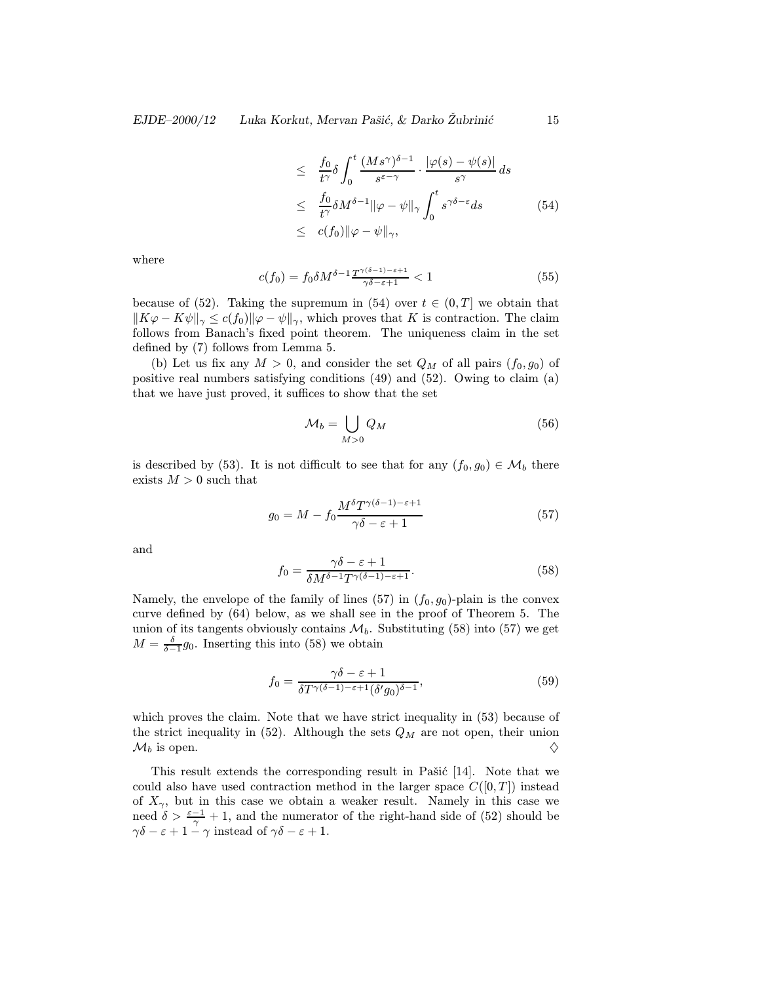$$
\leq \frac{f_0}{t^{\gamma}} \delta \int_0^t \frac{(Ms^{\gamma})^{\delta - 1}}{s^{\varepsilon - \gamma}} \cdot \frac{|\varphi(s) - \psi(s)|}{s^{\gamma}} ds
$$
  
\n
$$
\leq \frac{f_0}{t^{\gamma}} \delta M^{\delta - 1} ||\varphi - \psi||_{\gamma} \int_0^t s^{\gamma \delta - \varepsilon} ds
$$
  
\n
$$
\leq c(f_0) ||\varphi - \psi||_{\gamma}, \qquad (54)
$$

where

$$
c(f_0) = f_0 \delta M^{\delta - 1} \frac{T^{\gamma(\delta - 1) - \varepsilon + 1}}{\gamma \delta - \varepsilon + 1} < 1 \tag{55}
$$

because of (52). Taking the supremum in (54) over  $t \in (0, T]$  we obtain that  $\|K\varphi - K\psi\|_{\gamma} \leq c(f_0)\|\varphi - \psi\|_{\gamma}$ , which proves that K is contraction. The claim follows from Banach's fixed point theorem. The uniqueness claim in the set defined by (7) follows from Lemma 5.

(b) Let us fix any  $M > 0$ , and consider the set  $Q_M$  of all pairs  $(f_0, g_0)$  of positive real numbers satisfying conditions (49) and (52). Owing to claim (a) that we have just proved, it suffices to show that the set

$$
\mathcal{M}_b = \bigcup_{M>0} Q_M \tag{56}
$$

is described by (53). It is not difficult to see that for any  $(f_0, g_0) \in \mathcal{M}_b$  there exists  $M > 0$  such that

$$
g_0 = M - f_0 \frac{M^{\delta} T^{\gamma(\delta - 1) - \varepsilon + 1}}{\gamma \delta - \varepsilon + 1}
$$
\n(57)

and

$$
f_0 = \frac{\gamma \delta - \varepsilon + 1}{\delta M^{\delta - 1} T^{\gamma(\delta - 1) - \varepsilon + 1}}.
$$
\n(58)

Namely, the envelope of the family of lines (57) in  $(f_0, g_0)$ -plain is the convex curve defined by (64) below, as we shall see in the proof of Theorem 5. The union of its tangents obviously contains  $\mathcal{M}_b$ . Substituting (58) into (57) we get  $M = \frac{\delta}{\delta - 1} g_0$ . Inserting this into (58) we obtain

$$
f_0 = \frac{\gamma \delta - \varepsilon + 1}{\delta T^{\gamma(\delta - 1) - \varepsilon + 1} (\delta' g_0)^{\delta - 1}},\tag{59}
$$

which proves the claim. Note that we have strict inequality in (53) because of the strict inequality in  $(52)$ . Although the sets  $Q_M$  are not open, their union  $\mathcal{M}_b$  is open.  $\Diamond$ 

This result extends the corresponding result in Pašić [14]. Note that we could also have used contraction method in the larger space  $C([0, T])$  instead of  $X_{\gamma}$ , but in this case we obtain a weaker result. Namely in this case we need  $\delta > \frac{\varepsilon - 1}{\gamma} + 1$ , and the numerator of the right-hand side of (52) should be  $\gamma\delta - \varepsilon + 1 - \gamma$  instead of  $\gamma\delta - \varepsilon + 1$ .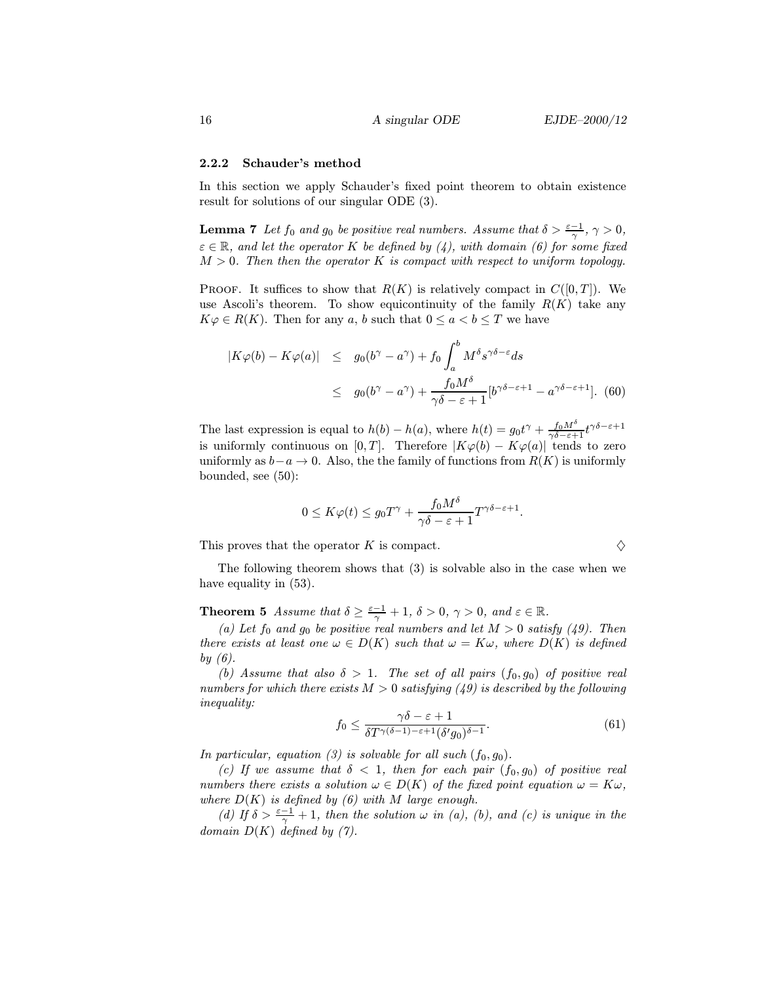#### 2.2.2 Schauder's method

In this section we apply Schauder's fixed point theorem to obtain existence result for solutions of our singular ODE (3).

**Lemma 7** Let  $f_0$  and  $g_0$  be positive real numbers. Assume that  $\delta > \frac{\varepsilon - 1}{\gamma}, \gamma > 0$ ,  $\varepsilon \in \mathbb{R}$ , and let the operator K be defined by (4), with domain (6) for some fixed  $M > 0$ . Then then the operator K is compact with respect to uniform topology.

PROOF. It suffices to show that  $R(K)$  is relatively compact in  $C([0, T])$ . We use Ascoli's theorem. To show equicontinuity of the family  $R(K)$  take any  $K\varphi \in R(K)$ . Then for any a, b such that  $0 \le a < b \le T$  we have

$$
|K\varphi(b) - K\varphi(a)| \le g_0(b^{\gamma} - a^{\gamma}) + f_0 \int_a^b M^{\delta} s^{\gamma \delta - \varepsilon} ds
$$
  
 
$$
\le g_0(b^{\gamma} - a^{\gamma}) + \frac{f_0 M^{\delta}}{\gamma \delta - \varepsilon + 1} [b^{\gamma \delta - \varepsilon + 1} - a^{\gamma \delta - \varepsilon + 1}]. \tag{60}
$$

The last expression is equal to  $h(b) - h(a)$ , where  $h(t) = g_0 t^{\gamma} + \frac{f_0 M^{\delta}}{\gamma \delta - \varepsilon + 1} t^{\gamma \delta - \varepsilon + 1}$ is uniformly continuous on [0, T]. Therefore  $|K\varphi(b) - K\varphi(a)|$  tends to zero uniformly as  $b-a \to 0$ . Also, the the family of functions from  $R(K)$  is uniformly bounded, see (50):

$$
0 \le K\varphi(t) \le g_0 T^{\gamma} + \frac{f_0 M^{\delta}}{\gamma \delta - \varepsilon + 1} T^{\gamma \delta - \varepsilon + 1}.
$$

This proves that the operator K is compact.  $\Diamond$ 

The following theorem shows that (3) is solvable also in the case when we have equality in  $(53)$ .

**Theorem 5** Assume that  $\delta \geq \frac{\varepsilon - 1}{\gamma} + 1$ ,  $\delta > 0$ ,  $\gamma > 0$ , and  $\varepsilon \in \mathbb{R}$ .

(a) Let  $f_0$  and  $g_0$  be positive real numbers and let  $M > 0$  satisfy (49). Then there exists at least one  $\omega \in D(K)$  such that  $\omega = K\omega$ , where  $D(K)$  is defined by  $(6)$ .

(b) Assume that also  $\delta > 1$ . The set of all pairs  $(f_0, g_0)$  of positive real numbers for which there exists  $M > 0$  satisfying (49) is described by the following inequality:

$$
f_0 \le \frac{\gamma \delta - \varepsilon + 1}{\delta T^{\gamma(\delta - 1) - \varepsilon + 1} (\delta' g_0)^{\delta - 1}}.
$$
\n(61)

In particular, equation (3) is solvable for all such  $(f_0, g_0)$ .

(c) If we assume that  $\delta$  < 1, then for each pair  $(f_0, g_0)$  of positive real numbers there exists a solution  $\omega \in D(K)$  of the fixed point equation  $\omega = K \omega$ , where  $D(K)$  is defined by (6) with M large enough.

(d) If  $\delta > \frac{\varepsilon-1}{\gamma} + 1$ , then the solution  $\omega$  in (a), (b), and (c) is unique in the domain  $D(K)$  defined by (7).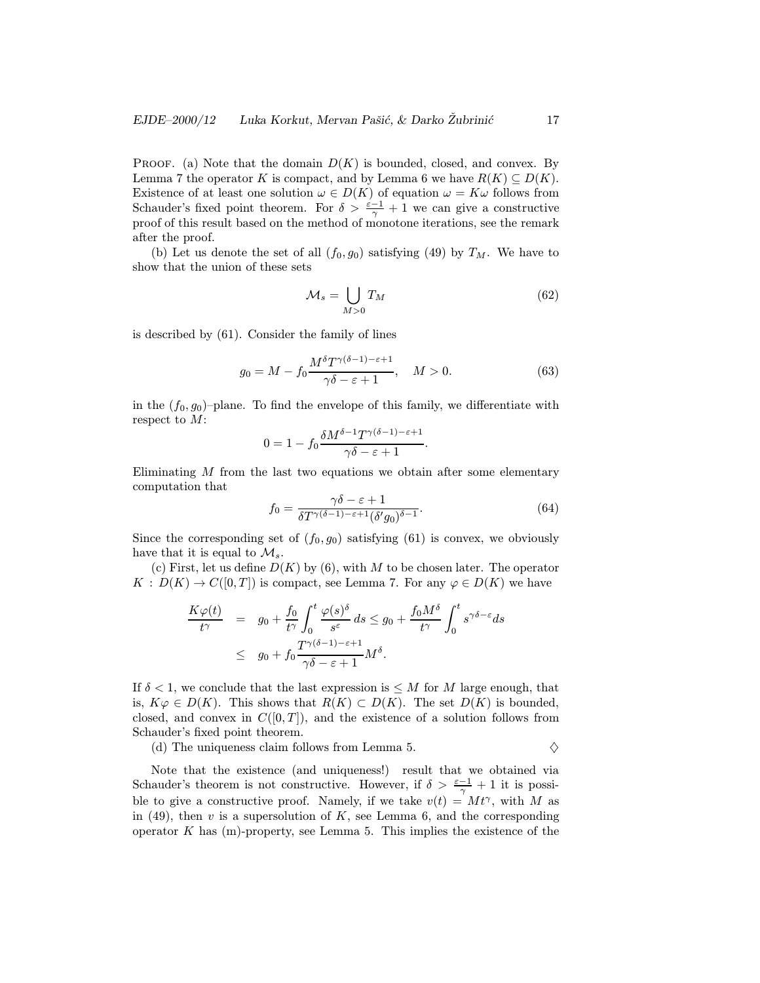PROOF. (a) Note that the domain  $D(K)$  is bounded, closed, and convex. By Lemma 7 the operator K is compact, and by Lemma 6 we have  $R(K) \subseteq D(K)$ . Existence of at least one solution  $\omega \in D(K)$  of equation  $\omega = K\omega$  follows from Schauder's fixed point theorem. For  $\delta > \frac{\varepsilon - 1}{\gamma} + 1$  we can give a constructive proof of this result based on the method of monotone iterations, see the remark after the proof.

(b) Let us denote the set of all  $(f_0, g_0)$  satisfying (49) by  $T_M$ . We have to show that the union of these sets

$$
\mathcal{M}_s = \bigcup_{M>0} T_M \tag{62}
$$

is described by (61). Consider the family of lines

$$
g_0 = M - f_0 \frac{M^{\delta} T^{\gamma(\delta - 1) - \varepsilon + 1}}{\gamma \delta - \varepsilon + 1}, \quad M > 0.
$$
 (63)

in the  $(f_0, g_0)$ -plane. To find the envelope of this family, we differentiate with respect to M:

$$
0 = 1 - f_0 \frac{\delta M^{\delta - 1} T^{\gamma(\delta - 1) - \varepsilon + 1}}{\gamma \delta - \varepsilon + 1}.
$$

Eliminating  $M$  from the last two equations we obtain after some elementary computation that

$$
f_0 = \frac{\gamma \delta - \varepsilon + 1}{\delta T^{\gamma(\delta - 1) - \varepsilon + 1} (\delta' g_0)^{\delta - 1}}.
$$
\n(64)

Since the corresponding set of  $(f_0, g_0)$  satisfying  $(61)$  is convex, we obviously have that it is equal to  $\mathcal{M}_s$ .

(c) First, let us define  $D(K)$  by (6), with M to be chosen later. The operator  $K : D(K) \to C([0,T])$  is compact, see Lemma 7. For any  $\varphi \in D(K)$  we have

$$
\frac{K\varphi(t)}{t^{\gamma}} = g_0 + \frac{f_0}{t^{\gamma}} \int_0^t \frac{\varphi(s)^{\delta}}{s^{\varepsilon}} ds \le g_0 + \frac{f_0 M^{\delta}}{t^{\gamma}} \int_0^t s^{\gamma \delta - \varepsilon} ds
$$
\n
$$
\le g_0 + f_0 \frac{T^{\gamma(\delta - 1) - \varepsilon + 1}}{\gamma \delta - \varepsilon + 1} M^{\delta}.
$$

If  $\delta$  < 1, we conclude that the last expression is  $\leq M$  for M large enough, that is,  $K\varphi \in D(K)$ . This shows that  $R(K) \subset D(K)$ . The set  $D(K)$  is bounded, closed, and convex in  $C([0,T])$ , and the existence of a solution follows from Schauder's fixed point theorem.

(d) The uniqueness claim follows from Lemma 5.  $\Diamond$ 

Note that the existence (and uniqueness!) result that we obtained via Schauder's theorem is not constructive. However, if  $\delta > \frac{\varepsilon - 1}{\gamma} + 1$  it is possible to give a constructive proof. Namely, if we take  $v(t) = Mt^{\gamma}$ , with M as in (49), then  $v$  is a supersolution of  $K$ , see Lemma 6, and the corresponding operator  $K$  has  $(m)$ -property, see Lemma 5. This implies the existence of the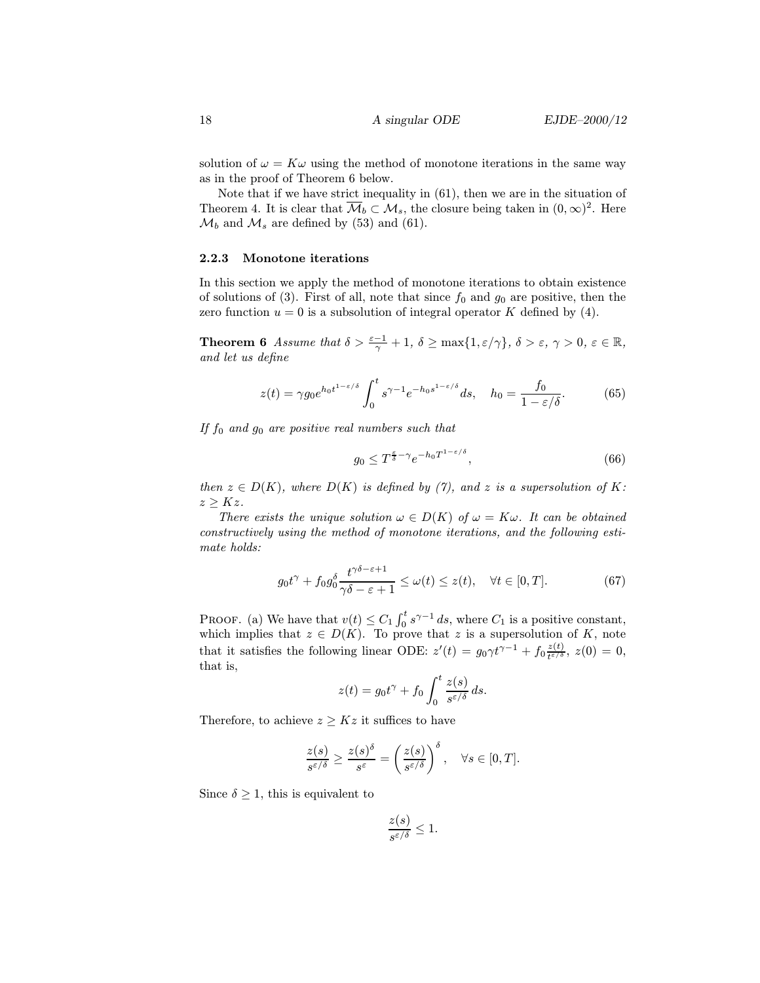solution of  $\omega = K\omega$  using the method of monotone iterations in the same way as in the proof of Theorem 6 below.

Note that if we have strict inequality in (61), then we are in the situation of Theorem 4. It is clear that  $\overline{\mathcal{M}}_b \subset \mathcal{M}_s$ , the closure being taken in  $(0,\infty)^2$ . Here  $\mathcal{M}_b$  and  $\mathcal{M}_s$  are defined by (53) and (61).

#### 2.2.3 Monotone iterations

In this section we apply the method of monotone iterations to obtain existence of solutions of (3). First of all, note that since  $f_0$  and  $g_0$  are positive, then the zero function  $u = 0$  is a subsolution of integral operator K defined by (4).

**Theorem 6** Assume that  $\delta > \frac{\varepsilon - 1}{\gamma} + 1$ ,  $\delta \ge \max\{1, \varepsilon/\gamma\}$ ,  $\delta > \varepsilon$ ,  $\gamma > 0$ ,  $\varepsilon \in \mathbb{R}$ , and let us define

$$
z(t) = \gamma g_0 e^{h_0 t^{1-\varepsilon/\delta}} \int_0^t s^{\gamma - 1} e^{-h_0 s^{1-\varepsilon/\delta}} ds, \quad h_0 = \frac{f_0}{1 - \varepsilon/\delta}.
$$
 (65)

If  $f_0$  and  $g_0$  are positive real numbers such that

$$
g_0 \le T^{\frac{\varepsilon}{\delta} - \gamma} e^{-h_0 T^{1 - \varepsilon/\delta}},\tag{66}
$$

then  $z \in D(K)$ , where  $D(K)$  is defined by (7), and z is a supersolution of K:  $z \geq Kz$ .

There exists the unique solution  $\omega \in D(K)$  of  $\omega = K\omega$ . It can be obtained constructively using the method of monotone iterations, and the following estimate holds:

$$
g_0 t^{\gamma} + f_0 g_0^{\delta} \frac{t^{\gamma \delta - \varepsilon + 1}}{\gamma \delta - \varepsilon + 1} \le \omega(t) \le z(t), \quad \forall t \in [0, T]. \tag{67}
$$

PROOF. (a) We have that  $v(t) \leq C_1 \int_0^t s^{\gamma-1} ds$ , where  $C_1$  is a positive constant, which implies that  $z \in D(K)$ . To prove that z is a supersolution of K, note that it satisfies the following linear ODE:  $z'(t) = g_0 \gamma t^{\gamma - 1} + f_0 \frac{z(t)}{t^{\varepsilon/\delta}}$ ,  $z(0) = 0$ , that is,

$$
z(t) = g_0 t^{\gamma} + f_0 \int_0^t \frac{z(s)}{s^{\varepsilon/\delta}} ds.
$$

Therefore, to achieve  $z \geq Kz$  it suffices to have

$$
\frac{z(s)}{s^{\varepsilon/\delta}} \ge \frac{z(s)^\delta}{s^\varepsilon} = \left(\frac{z(s)}{s^{\varepsilon/\delta}}\right)^\delta, \quad \forall s \in [0, T].
$$

Since  $\delta \geq 1$ , this is equivalent to

$$
\frac{z(s)}{s^{\varepsilon/\delta}} \le 1.
$$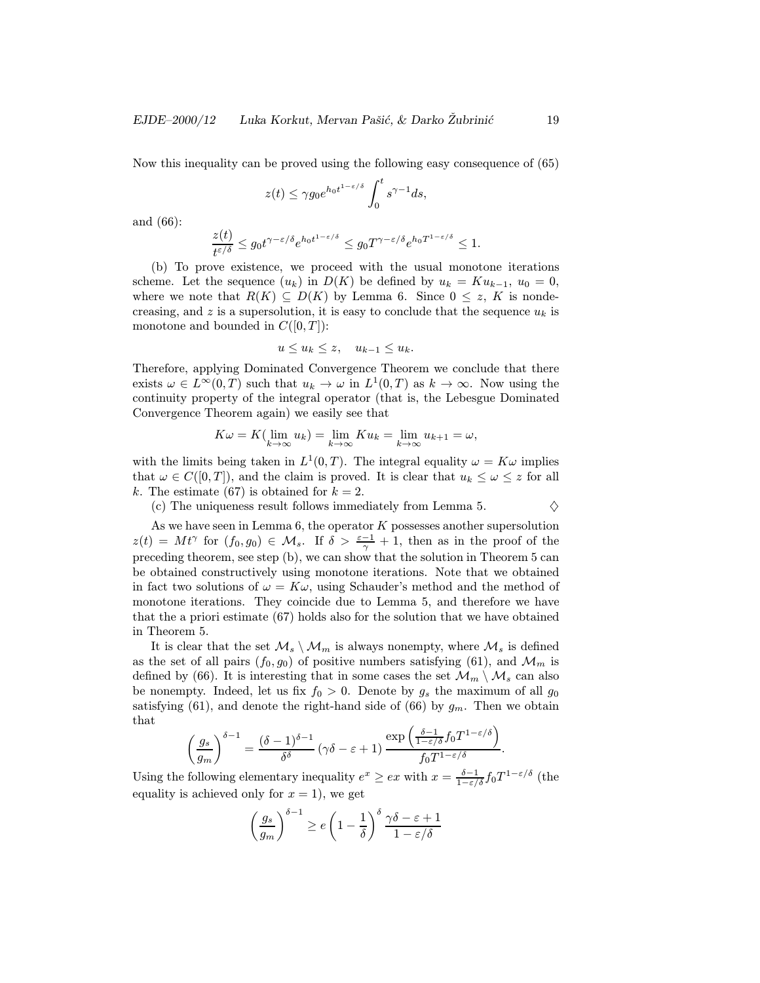Now this inequality can be proved using the following easy consequence of (65)

$$
z(t) \leq \gamma g_0 e^{h_0 t^{1-\varepsilon/\delta}} \int_0^t s^{\gamma-1} ds,
$$

and (66):

$$
\frac{z(t)}{t^{\varepsilon/\delta}} \le g_0 t^{\gamma-\varepsilon/\delta} e^{h_0 t^{1-\varepsilon/\delta}} \le g_0 T^{\gamma-\varepsilon/\delta} e^{h_0 T^{1-\varepsilon/\delta}} \le 1.
$$

(b) To prove existence, we proceed with the usual monotone iterations scheme. Let the sequence  $(u_k)$  in  $D(K)$  be defined by  $u_k = K u_{k-1}$ ,  $u_0 = 0$ , where we note that  $R(K) \subseteq D(K)$  by Lemma 6. Since  $0 \leq z$ , K is nondecreasing, and z is a supersolution, it is easy to conclude that the sequence  $u_k$  is monotone and bounded in  $C([0, T])$ :

$$
u \le u_k \le z, \quad u_{k-1} \le u_k.
$$

Therefore, applying Dominated Convergence Theorem we conclude that there exists  $\omega \in L^{\infty}(0,T)$  such that  $u_k \to \omega$  in  $L^1(0,T)$  as  $k \to \infty$ . Now using the continuity property of the integral operator (that is, the Lebesgue Dominated Convergence Theorem again) we easily see that

$$
K\omega = K(\lim_{k \to \infty} u_k) = \lim_{k \to \infty} Ku_k = \lim_{k \to \infty} u_{k+1} = \omega,
$$

with the limits being taken in  $L^1(0,T)$ . The integral equality  $\omega = K\omega$  implies that  $\omega \in C([0,T])$ , and the claim is proved. It is clear that  $u_k \leq \omega \leq z$  for all k. The estimate (67) is obtained for  $k = 2$ .

(c) The uniqueness result follows immediately from Lemma 5.  $\Diamond$ 

As we have seen in Lemma  $6$ , the operator  $K$  possesses another supersolution  $z(t) = Mt^{\gamma}$  for  $(f_0, g_0) \in \mathcal{M}_s$ . If  $\delta > \frac{\varepsilon - 1}{\gamma} + 1$ , then as in the proof of the preceding theorem, see step (b), we can show that the solution in Theorem 5 can be obtained constructively using monotone iterations. Note that we obtained in fact two solutions of  $\omega = K\omega$ , using Schauder's method and the method of monotone iterations. They coincide due to Lemma 5, and therefore we have that the a priori estimate (67) holds also for the solution that we have obtained in Theorem 5.

It is clear that the set  $\mathcal{M}_s \setminus \mathcal{M}_m$  is always nonempty, where  $\mathcal{M}_s$  is defined as the set of all pairs  $(f_0, g_0)$  of positive numbers satisfying (61), and  $\mathcal{M}_m$  is defined by (66). It is interesting that in some cases the set  $\mathcal{M}_m \setminus \mathcal{M}_s$  can also be nonempty. Indeed, let us fix  $f_0 > 0$ . Denote by  $g_s$  the maximum of all  $g_0$ satisfying (61), and denote the right-hand side of (66) by  $g_m$ . Then we obtain that

$$
\left(\frac{g_s}{g_m}\right)^{\delta-1} = \frac{(\delta-1)^{\delta-1}}{\delta^{\delta}} \left(\gamma \delta - \varepsilon + 1\right) \frac{\exp\left(\frac{\delta-1}{1-\varepsilon/\delta} f_0 T^{1-\varepsilon/\delta}\right)}{f_0 T^{1-\varepsilon/\delta}}.
$$

Using the following elementary inequality  $e^x \geq ex$  with  $x = \frac{\delta - 1}{1 - \varepsilon/\delta} f_0 T^{1 - \varepsilon/\delta}$  (the equality is achieved only for  $x = 1$ , we get

$$
\left(\frac{g_s}{g_m}\right)^{\delta-1} \ge e\left(1 - \frac{1}{\delta}\right)^{\delta} \frac{\gamma \delta - \varepsilon + 1}{1 - \varepsilon/\delta}
$$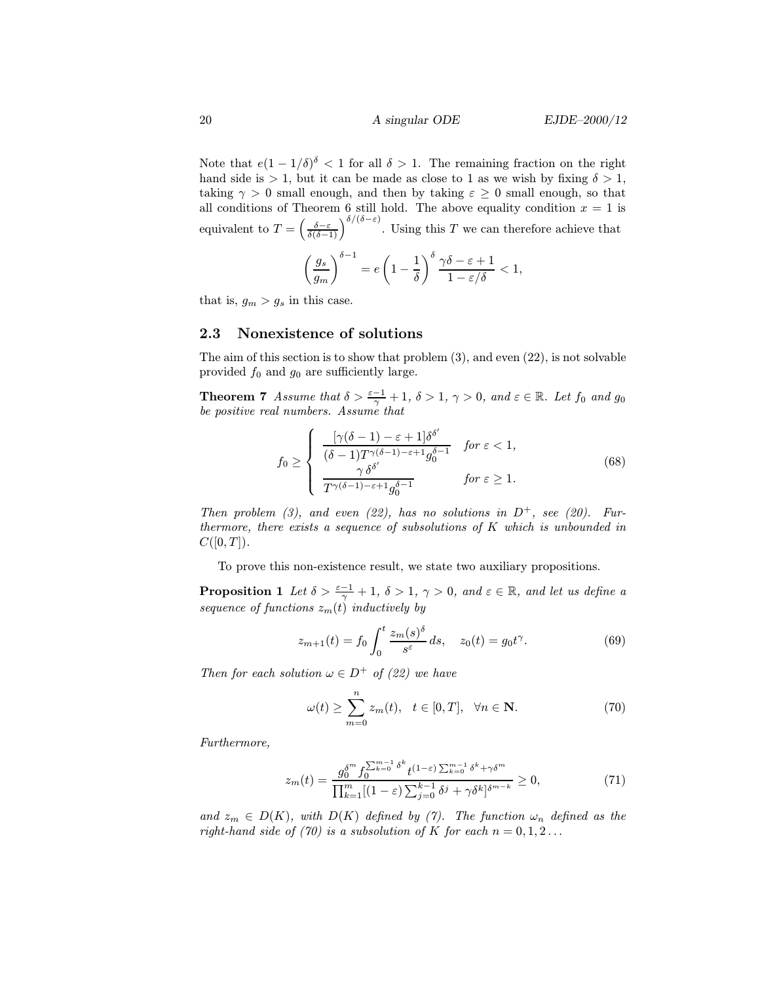Note that  $e(1 - 1/\delta)^{\delta} < 1$  for all  $\delta > 1$ . The remaining fraction on the right hand side is  $> 1$ , but it can be made as close to 1 as we wish by fixing  $\delta > 1$ , taking  $\gamma > 0$  small enough, and then by taking  $\varepsilon \geq 0$  small enough, so that all conditions of Theorem 6 still hold. The above equality condition  $x = 1$  is equivalent to  $T = \left(\frac{\delta - \varepsilon}{\delta(\delta - 1)}\right)^{\delta/(\delta - \varepsilon)}$ . Using this T we can therefore achieve that

$$
\left(\frac{g_s}{g_m}\right)^{\delta-1} = e\left(1 - \frac{1}{\delta}\right)^{\delta} \frac{\gamma \delta - \varepsilon + 1}{1 - \varepsilon/\delta} < 1,
$$

that is,  $g_m > g_s$  in this case.

# 2.3 Nonexistence of solutions

The aim of this section is to show that problem (3), and even (22), is not solvable provided  $f_0$  and  $g_0$  are sufficiently large.

**Theorem 7** Assume that  $\delta > \frac{\varepsilon - 1}{\gamma} + 1$ ,  $\delta > 1$ ,  $\gamma > 0$ , and  $\varepsilon \in \mathbb{R}$ . Let  $f_0$  and  $g_0$ be positive real numbers. Assume that

$$
f_0 \ge \begin{cases} \frac{[\gamma(\delta - 1) - \varepsilon + 1] \delta^{\delta'}}{(\delta - 1) T^{\gamma(\delta - 1) - \varepsilon + 1} g_0^{\delta - 1}} & \text{for } \varepsilon < 1, \\ \frac{\gamma \delta^{\delta'}}{T^{\gamma(\delta - 1) - \varepsilon + 1} g_0^{\delta - 1}} & \text{for } \varepsilon \ge 1. \end{cases}
$$
(68)

Then problem (3), and even (22), has no solutions in  $D^+$ , see (20). Furthermore, there exists a sequence of subsolutions of K which is unbounded in  $C([0,T])$ .

To prove this non-existence result, we state two auxiliary propositions.

**Proposition 1** Let  $\delta > \frac{\varepsilon - 1}{\gamma} + 1$ ,  $\delta > 1$ ,  $\gamma > 0$ , and  $\varepsilon \in \mathbb{R}$ , and let us define a sequence of functions  $z_m(t)$  inductively by

$$
z_{m+1}(t) = f_0 \int_0^t \frac{z_m(s)^{\delta}}{s^{\varepsilon}} ds, \quad z_0(t) = g_0 t^{\gamma}.
$$
 (69)

Then for each solution  $\omega \in D^+$  of (22) we have

$$
\omega(t) \ge \sum_{m=0}^{n} z_m(t), \quad t \in [0, T], \quad \forall n \in \mathbb{N}.
$$
 (70)

Furthermore,

$$
z_m(t) = \frac{g_0^{\delta^m} f_0^{\sum_{k=0}^{m-1} \delta^k} t^{(1-\varepsilon) \sum_{k=0}^{m-1} \delta^k + \gamma \delta^m}}{\prod_{k=1}^m [(1-\varepsilon) \sum_{j=0}^{k-1} \delta^j + \gamma \delta^k]^{\delta^{m-k}}} \ge 0,
$$
\n(71)

and  $z_m \in D(K)$ , with  $D(K)$  defined by (7). The function  $\omega_n$  defined as the right-hand side of (70) is a subsolution of K for each  $n = 0, 1, 2...$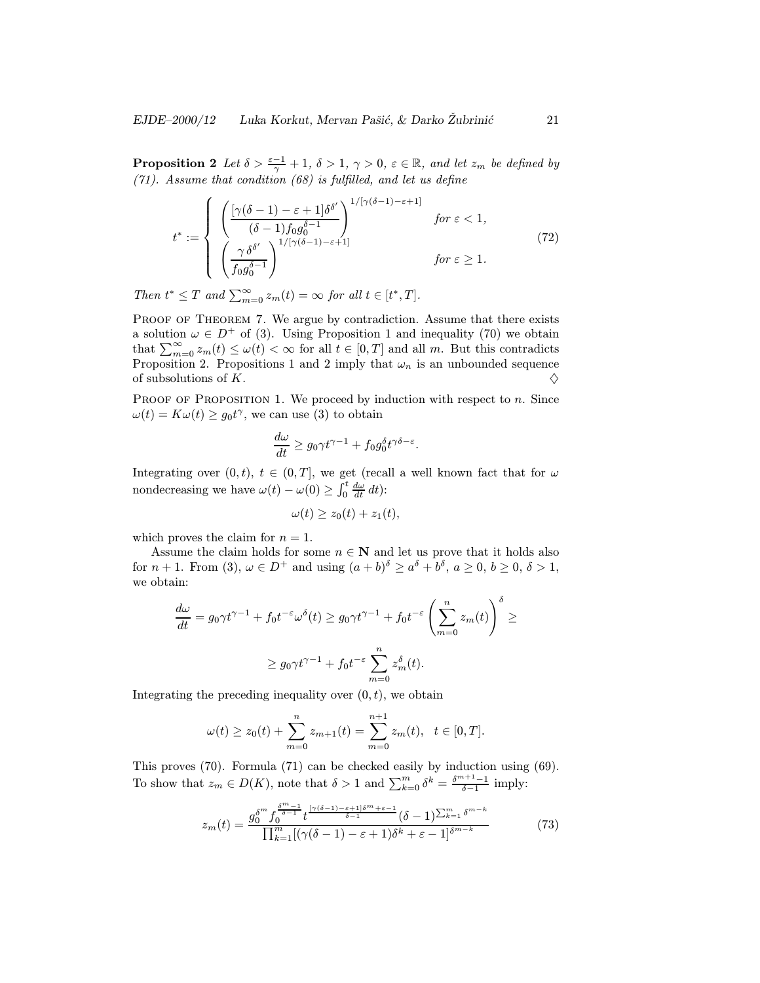**Proposition 2** Let  $\delta > \frac{\varepsilon - 1}{\gamma} + 1$ ,  $\delta > 1$ ,  $\gamma > 0$ ,  $\varepsilon \in \mathbb{R}$ , and let  $z_m$  be defined by (71). Assume that condition (68) is fulfilled, and let us define

$$
t^* := \begin{cases} \left( \frac{\left[ \gamma(\delta - 1) - \varepsilon + 1 \right] \delta^{\delta'}}{(\delta - 1) f_0 g_0^{\delta - 1}} \right)^{1/\left[ \gamma(\delta - 1) - \varepsilon + 1 \right]} & \text{for } \varepsilon < 1, \\ \left( \frac{\gamma \delta^{\delta'}}{f_0 g_0^{\delta - 1}} \right)^{1/\left[ \gamma(\delta - 1) - \varepsilon + 1 \right]} & \text{for } \varepsilon \ge 1. \end{cases} \tag{72}
$$

Then  $t^* \leq T$  and  $\sum_{m=0}^{\infty} z_m(t) = \infty$  for all  $t \in [t^*, T]$ .

PROOF OF THEOREM 7. We argue by contradiction. Assume that there exists a solution  $\omega \in D^+$  of (3). Using Proposition 1 and inequality (70) we obtain that  $\sum_{m=0}^{\infty} z_m(t) \leq \omega(t) < \infty$  for all  $t \in [0, T]$  and all m. But this contradicts Proposition 2. Propositions 1 and 2 imply that  $\omega_n$  is an unbounded sequence of subsolutions of K.  $\Diamond$ 

PROOF OF PROPOSITION 1. We proceed by induction with respect to  $n$ . Since  $\omega(t) = K\omega(t) \ge g_0 t^{\gamma}$ , we can use (3) to obtain

$$
\frac{d\omega}{dt} \ge g_0 \gamma t^{\gamma - 1} + f_0 g_0^{\delta} t^{\gamma \delta - \varepsilon}.
$$

Integrating over  $(0, t)$ ,  $t \in (0, T]$ , we get (recall a well known fact that for  $\omega$ nondecreasing we have  $\omega(t) - \omega(0) \ge \int_0^t \frac{d\omega}{dt} dt$ :

$$
\omega(t) \ge z_0(t) + z_1(t),
$$

which proves the claim for  $n = 1$ .

Assume the claim holds for some  $n \in \mathbb{N}$  and let us prove that it holds also for  $n+1$ . From (3),  $\omega \in D^+$  and using  $(a+b)^{\delta} \ge a^{\delta} + b^{\delta}$ ,  $a \ge 0$ ,  $b \ge 0$ ,  $\delta > 1$ , we obtain:

$$
\frac{d\omega}{dt} = g_0 \gamma t^{\gamma - 1} + f_0 t^{-\varepsilon} \omega^{\delta}(t) \ge g_0 \gamma t^{\gamma - 1} + f_0 t^{-\varepsilon} \left( \sum_{m=0}^n z_m(t) \right)^{\delta} \ge
$$
  

$$
\ge g_0 \gamma t^{\gamma - 1} + f_0 t^{-\varepsilon} \sum_{m=0}^n z_m^{\delta}(t).
$$

Integrating the preceding inequality over  $(0, t)$ , we obtain

$$
\omega(t) \ge z_0(t) + \sum_{m=0}^n z_{m+1}(t) = \sum_{m=0}^{n+1} z_m(t), \quad t \in [0, T].
$$

This proves (70). Formula (71) can be checked easily by induction using (69). To show that  $z_m \in D(K)$ , note that  $\delta > 1$  and  $\sum_{k=0}^{m} \delta^k = \frac{\delta^{m+1}-1}{\delta-1}$  imply:

$$
z_m(t) = \frac{g_0^{\delta^m} f_0^{\frac{\delta^m - 1}{\delta - 1}} t^{\frac{[\gamma(\delta - 1) - \varepsilon + 1]\delta^m + \varepsilon - 1}{\delta - 1}}(\delta - 1)^{\sum_{k=1}^m \delta^{m - k}}}{\prod_{k=1}^m [(\gamma(\delta - 1) - \varepsilon + 1)\delta^k + \varepsilon - 1]^{\delta^{m - k}}} \tag{73}
$$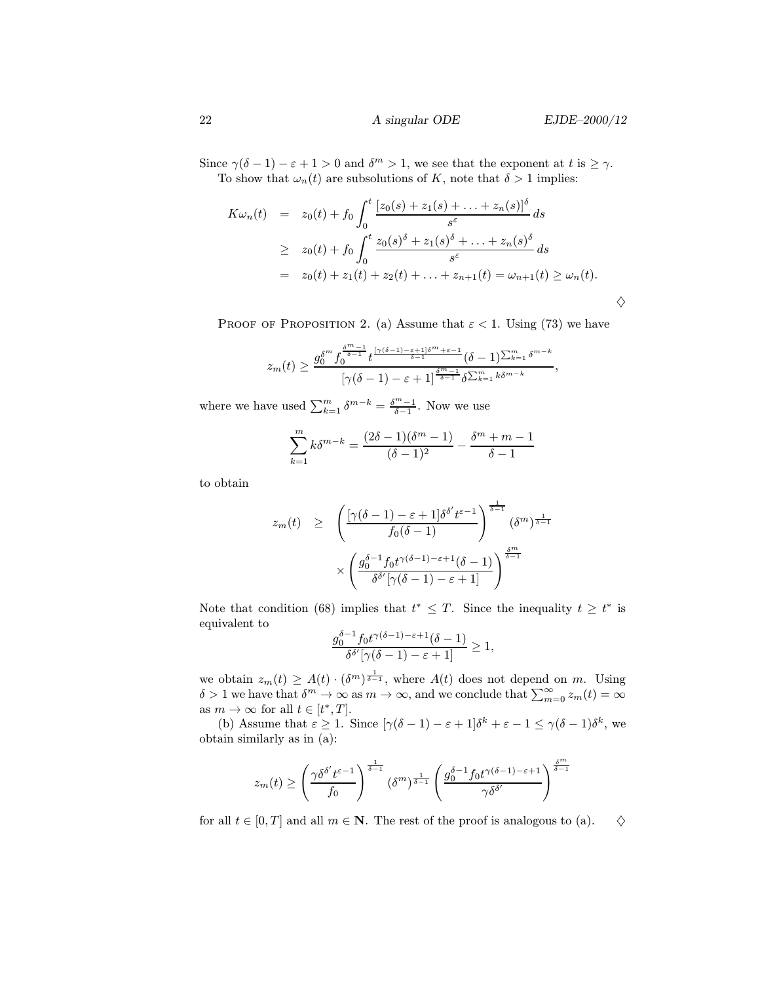Since  $\gamma(\delta - 1) - \varepsilon + 1 > 0$  and  $\delta^m > 1$ , we see that the exponent at t is  $\geq \gamma$ . To show that  $\omega_n(t)$  are subsolutions of K, note that  $\delta > 1$  implies:

$$
K\omega_n(t) = z_0(t) + f_0 \int_0^t \frac{[z_0(s) + z_1(s) + \dots + z_n(s)]^{\delta}}{s^{\varepsilon}} ds
$$
  
\n
$$
\geq z_0(t) + f_0 \int_0^t \frac{z_0(s)^{\delta} + z_1(s)^{\delta} + \dots + z_n(s)^{\delta}}{s^{\varepsilon}} ds
$$
  
\n
$$
= z_0(t) + z_1(t) + z_2(t) + \dots + z_{n+1}(t) = \omega_{n+1}(t) \geq \omega_n(t).
$$

PROOF OF PROPOSITION 2. (a) Assume that  $\varepsilon < 1$ . Using (73) we have

$$
z_m(t) \geq \frac{g_0^{\delta^m} f_0^{\frac{\delta^m-1}{\delta-1}} t^{\frac{\lceil \gamma(\delta-1)-\varepsilon+1\rfloor \delta^m+\varepsilon-1}{\delta-1}}(\delta-1)^{\sum_{k=1}^m \delta^{m-k}}}{\lceil \gamma(\delta-1)-\varepsilon+1\rceil^{\frac{\delta^m-1}{\delta-1}} \delta^{\sum_{k=1}^m k\delta^{m-k}}},
$$

where we have used  $\sum_{k=1}^{m} \delta^{m-k} = \frac{\delta^m - 1}{\delta - 1}$ . Now we use

$$
\sum_{k=1}^{m} k \delta^{m-k} = \frac{(2\delta - 1)(\delta^m - 1)}{(\delta - 1)^2} - \frac{\delta^m + m - 1}{\delta - 1}
$$

to obtain

$$
z_m(t) \geq \left(\frac{\left[\gamma(\delta-1)-\varepsilon+1\right]\delta^{\delta'}t^{\varepsilon-1}}{f_0(\delta-1)}\right)^{\frac{1}{\delta-1}}(\delta^m)^{\frac{1}{\delta-1}} \times \left(\frac{g_0^{\delta-1}f_0t^{\gamma(\delta-1)-\varepsilon+1}(\delta-1)}{\delta^{\delta'}[\gamma(\delta-1)-\varepsilon+1]}\right)^{\frac{\delta^m}{\delta-1}}
$$

Note that condition (68) implies that  $t^* \leq T$ . Since the inequality  $t \geq t^*$  is equivalent to

$$
\frac{g_0^{\delta-1}f_0t^{\gamma(\delta-1)-\varepsilon+1}(\delta-1)}{\delta^{\delta'}[\gamma(\delta-1)-\varepsilon+1]}\geq 1,
$$

we obtain  $z_m(t) \geq A(t) \cdot (\delta^m)^{\frac{1}{\delta-1}}$ , where  $A(t)$  does not depend on m. Using  $\delta > 1$  we have that  $\delta^m \to \infty$  as  $m \to \infty$ , and we conclude that  $\sum_{m=0}^{\infty} z_m(t) = \infty$ as  $m \to \infty$  for all  $t \in [t^*, T]$ .

(b) Assume that  $\varepsilon \geq 1$ . Since  $[\gamma(\delta - 1) - \varepsilon + 1]\delta^k + \varepsilon - 1 \leq \gamma(\delta - 1)\delta^k$ , we obtain similarly as in (a):

$$
z_m(t)\geq \left(\frac{\gamma\delta^{\delta'}t^{\varepsilon-1}}{f_0}\right)^{\frac{1}{\delta-1}}(\delta^m)^{\frac{1}{\delta-1}}\left(\frac{g_0^{\delta-1}f_0t^{\gamma(\delta-1)-\varepsilon+1}}{\gamma\delta^{\delta'}}\right)^{\frac{\delta^m}{\delta-1}}
$$

for all  $t \in [0, T]$  and all  $m \in \mathbb{N}$ . The rest of the proof is analogous to (a).  $\diamondsuit$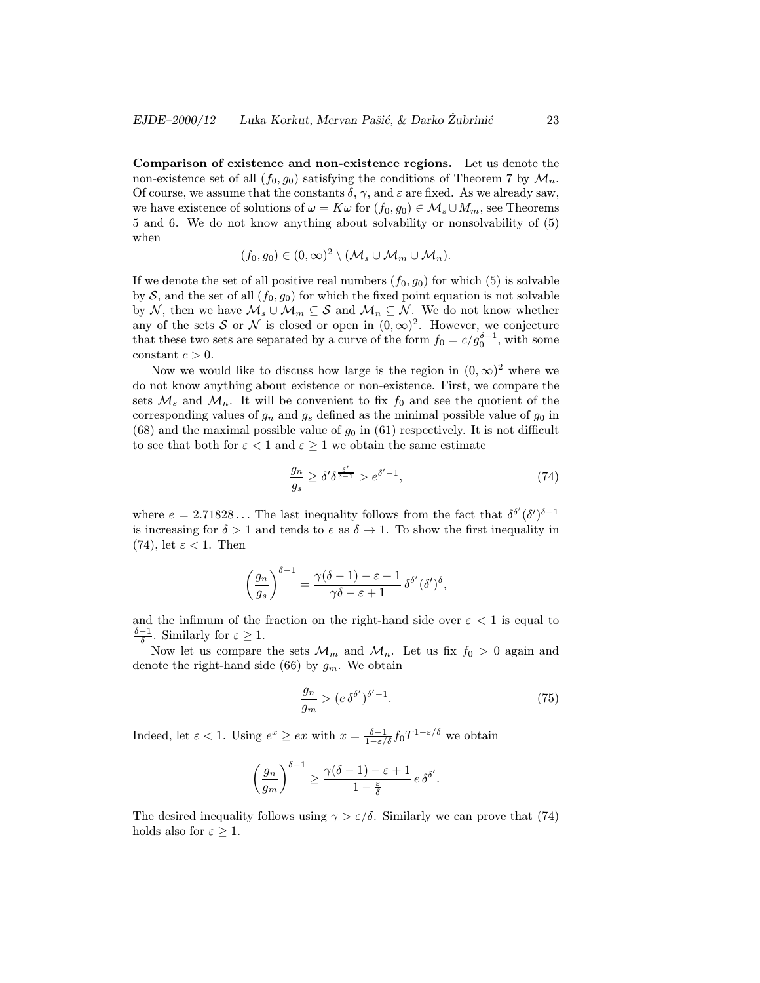Comparison of existence and non-existence regions. Let us denote the non-existence set of all  $(f_0, g_0)$  satisfying the conditions of Theorem 7 by  $\mathcal{M}_n$ . Of course, we assume that the constants  $\delta$ ,  $\gamma$ , and  $\varepsilon$  are fixed. As we already saw, we have existence of solutions of  $\omega = K\omega$  for  $(f_0, g_0) \in M_s \cup M_m$ , see Theorems 5 and 6. We do not know anything about solvability or nonsolvability of (5) when

$$
(f_0,g_0)\in (0,\infty)^2\setminus (\mathcal{M}_s\cup \mathcal{M}_m\cup \mathcal{M}_n).
$$

If we denote the set of all positive real numbers  $(f_0, g_0)$  for which  $(5)$  is solvable by S, and the set of all  $(f_0, g_0)$  for which the fixed point equation is not solvable by N, then we have  $M_s \cup M_m \subseteq S$  and  $M_n \subseteq N$ . We do not know whether any of the sets S or N is closed or open in  $(0, \infty)^2$ . However, we conjecture that these two sets are separated by a curve of the form  $f_0 = c/g_0^{\delta-1}$ , with some constant  $c > 0$ .

Now we would like to discuss how large is the region in  $(0, \infty)^2$  where we do not know anything about existence or non-existence. First, we compare the sets  $\mathcal{M}_s$  and  $\mathcal{M}_n$ . It will be convenient to fix  $f_0$  and see the quotient of the corresponding values of  $g_n$  and  $g_s$  defined as the minimal possible value of  $g_0$  in  $(68)$  and the maximal possible value of  $g_0$  in  $(61)$  respectively. It is not difficult to see that both for  $\varepsilon < 1$  and  $\varepsilon \geq 1$  we obtain the same estimate

$$
\frac{g_n}{g_s} \ge \delta' \delta^{\frac{\delta'}{\delta - 1}} > e^{\delta' - 1},\tag{74}
$$

where  $e = 2.71828...$  The last inequality follows from the fact that  $\delta^{\delta'}(\delta')^{\delta-1}$ is increasing for  $\delta > 1$  and tends to e as  $\delta \to 1$ . To show the first inequality in (74), let  $\varepsilon < 1$ . Then

$$
\left(\frac{g_n}{g_s}\right)^{\delta-1} = \frac{\gamma(\delta-1)-\varepsilon+1}{\gamma\delta-\varepsilon+1} \delta^{\delta'}(\delta')^{\delta},
$$

and the infimum of the fraction on the right-hand side over  $\varepsilon < 1$  is equal to  $\frac{\delta-1}{\delta}$ . Similarly for  $\varepsilon \geq 1$ .

Now let us compare the sets  $\mathcal{M}_m$  and  $\mathcal{M}_n$ . Let us fix  $f_0 > 0$  again and denote the right-hand side (66) by  $g_m$ . We obtain

$$
\frac{g_n}{g_m} > (e \,\delta^{\delta'})^{\delta'-1}.\tag{75}
$$

Indeed, let  $\varepsilon < 1$ . Using  $e^x \geq ex$  with  $x = \frac{\delta - 1}{1 - \varepsilon/\delta} f_0 T^{1 - \varepsilon/\delta}$  we obtain

$$
\left(\frac{g_n}{g_m}\right)^{\delta-1} \ge \frac{\gamma(\delta-1)-\varepsilon+1}{1-\frac{\varepsilon}{\delta}} e \,\delta^{\delta'}.
$$

The desired inequality follows using  $\gamma > \varepsilon/\delta$ . Similarly we can prove that (74) holds also for  $\varepsilon \geq 1$ .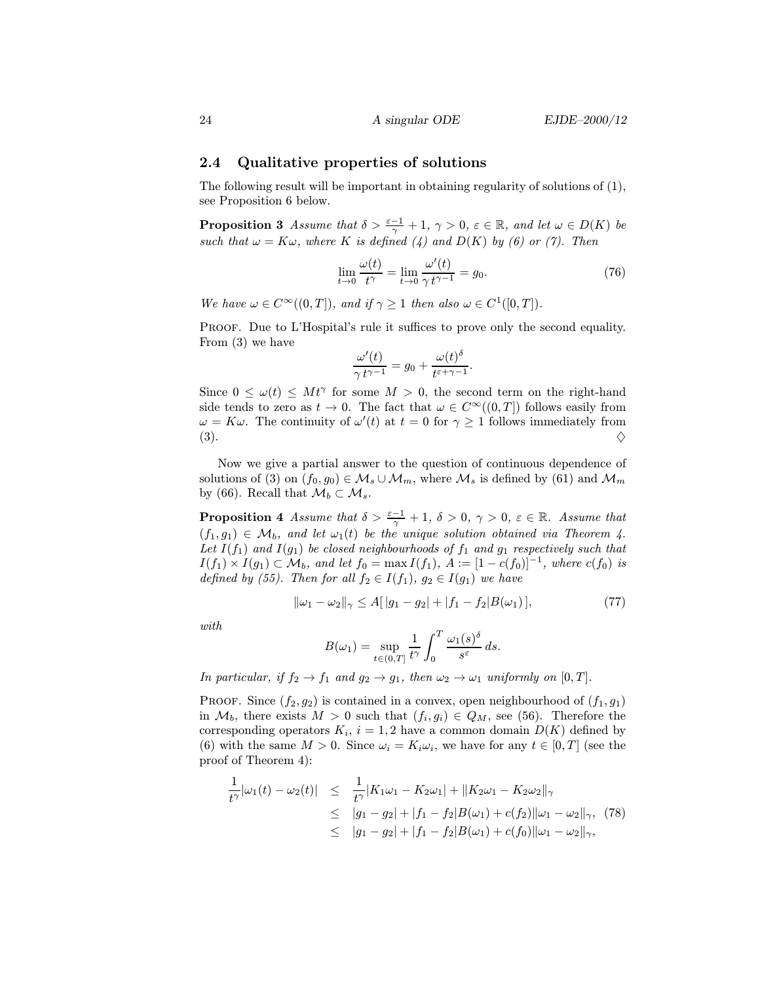### 2.4 Qualitative properties of solutions

The following result will be important in obtaining regularity of solutions of (1), see Proposition 6 below.

**Proposition 3** Assume that  $\delta > \frac{\varepsilon - 1}{\gamma} + 1$ ,  $\gamma > 0$ ,  $\varepsilon \in \mathbb{R}$ , and let  $\omega \in D(K)$  be such that  $\omega = K\omega$ , where K is defined (4) and  $D(K)$  by (6) or (7). Then

$$
\lim_{t \to 0} \frac{\omega(t)}{t^{\gamma}} = \lim_{t \to 0} \frac{\omega'(t)}{\gamma t^{\gamma - 1}} = g_0.
$$
\n(76)

We have  $\omega \in C^{\infty}((0,T])$ , and if  $\gamma \geq 1$  then also  $\omega \in C^1([0,T])$ .

PROOF. Due to L'Hospital's rule it suffices to prove only the second equality. From (3) we have

$$
\frac{\omega'(t)}{\gamma t^{\gamma-1}} = g_0 + \frac{\omega(t)^{\delta}}{t^{\varepsilon+\gamma-1}}.
$$

Since  $0 \leq \omega(t) \leq Mt^{\gamma}$  for some  $M > 0$ , the second term on the right-hand side tends to zero as  $t \to 0$ . The fact that  $\omega \in C^{\infty}((0,T])$  follows easily from  $\omega = K\omega$ . The continuity of  $\omega'(t)$  at  $t = 0$  for  $\gamma \ge 1$  follows immediately from  $(3).$ 

Now we give a partial answer to the question of continuous dependence of solutions of (3) on  $(f_0, g_0) \in \mathcal{M}_s \cup \mathcal{M}_m$ , where  $\mathcal{M}_s$  is defined by (61) and  $\mathcal{M}_m$ by (66). Recall that  $\mathcal{M}_b \subset \mathcal{M}_s$ .

**Proposition 4** Assume that  $\delta > \frac{\varepsilon - 1}{\gamma} + 1$ ,  $\delta > 0$ ,  $\gamma > 0$ ,  $\varepsilon \in \mathbb{R}$ . Assume that  $(f_1, g_1) \in \mathcal{M}_b$ , and let  $\omega_1(t)$  be the unique solution obtained via Theorem 4. Let  $I(f_1)$  and  $I(g_1)$  be closed neighbourhoods of  $f_1$  and  $g_1$  respectively such that  $I(f_1) \times I(g_1) \subset \mathcal{M}_b$ , and let  $f_0 = \max I(f_1)$ ,  $A := [1 - c(f_0)]^{-1}$ , where  $c(f_0)$  is defined by (55). Then for all  $f_2 \in I(f_1)$ ,  $g_2 \in I(g_1)$  we have

$$
\|\omega_1 - \omega_2\|_{\gamma} \le A[|g_1 - g_2| + |f_1 - f_2|B(\omega_1)],\tag{77}
$$

with

$$
B(\omega_1) = \sup_{t \in (0,T]} \frac{1}{t^{\gamma}} \int_0^T \frac{\omega_1(s)^{\delta}}{s^{\varepsilon}} ds.
$$

In particular, if  $f_2 \to f_1$  and  $g_2 \to g_1$ , then  $\omega_2 \to \omega_1$  uniformly on  $[0, T]$ .

PROOF. Since  $(f_2, g_2)$  is contained in a convex, open neighbourhood of  $(f_1, g_1)$ in  $\mathcal{M}_b$ , there exists  $M > 0$  such that  $(f_i, g_i) \in Q_M$ , see (56). Therefore the corresponding operators  $K_i$ ,  $i = 1, 2$  have a common domain  $D(K)$  defined by (6) with the same  $M > 0$ . Since  $\omega_i = K_i \omega_i$ , we have for any  $t \in [0, T]$  (see the proof of Theorem 4):

$$
\frac{1}{t^{\gamma}}|\omega_1(t) - \omega_2(t)| \leq \frac{1}{t^{\gamma}}|K_1\omega_1 - K_2\omega_1| + \|K_2\omega_1 - K_2\omega_2\|_{\gamma} \leq |g_1 - g_2| + |f_1 - f_2|B(\omega_1) + c(f_2)||\omega_1 - \omega_2\|_{\gamma}, (78)\leq |g_1 - g_2| + |f_1 - f_2|B(\omega_1) + c(f_0)||\omega_1 - \omega_2\|_{\gamma},
$$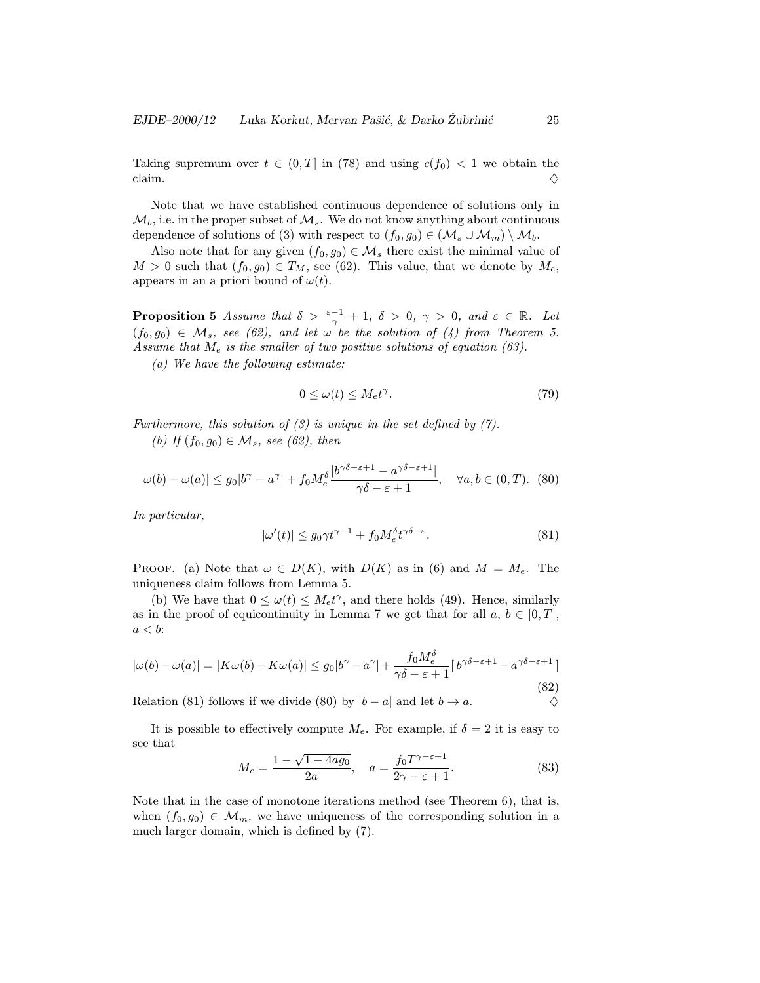Taking supremum over  $t \in (0, T]$  in (78) and using  $c(f_0) < 1$  we obtain the claim. claim.  $\diamondsuit$ 

Note that we have established continuous dependence of solutions only in  $\mathcal{M}_b$ , i.e. in the proper subset of  $\mathcal{M}_s$ . We do not know anything about continuous dependence of solutions of (3) with respect to  $(f_0, g_0) \in (\mathcal{M}_s \cup \mathcal{M}_m) \setminus \mathcal{M}_b$ .

Also note that for any given  $(f_0, g_0) \in \mathcal{M}_s$  there exist the minimal value of  $M > 0$  such that  $(f_0, g_0) \in T_M$ , see (62). This value, that we denote by  $M_e$ , appears in an a priori bound of  $\omega(t)$ .

**Proposition 5** Assume that  $\delta > \frac{\varepsilon - 1}{\gamma} + 1$ ,  $\delta > 0$ ,  $\gamma > 0$ , and  $\varepsilon \in \mathbb{R}$ . Let  $(f_0, g_0) \in \mathcal{M}_s$ , see (62), and let  $\omega$  be the solution of (4) from Theorem 5. Assume that  $M_e$  is the smaller of two positive solutions of equation (63).

(a) We have the following estimate:

$$
0 \le \omega(t) \le M_e t^{\gamma}.\tag{79}
$$

Furthermore, this solution of  $(3)$  is unique in the set defined by  $(7)$ . (b) If  $(f_0, g_0) \in \mathcal{M}_s$ , see (62), then

$$
|\omega(b)-\omega(a)| \le g_0|b^{\gamma}-a^{\gamma}|+f_0 M_e^{\delta} \frac{|b^{\gamma\delta-\varepsilon+1}-a^{\gamma\delta-\varepsilon+1}|}{\gamma\delta-\varepsilon+1}, \quad \forall a, b \in (0, T). \tag{80}
$$

In particular,

$$
|\omega'(t)| \le g_0 \gamma t^{\gamma - 1} + f_0 M_e^{\delta} t^{\gamma \delta - \varepsilon}.
$$
 (81)

PROOF. (a) Note that  $\omega \in D(K)$ , with  $D(K)$  as in (6) and  $M = M_e$ . The uniqueness claim follows from Lemma 5.

(b) We have that  $0 \leq \omega(t) \leq M_e t^{\gamma}$ , and there holds (49). Hence, similarly as in the proof of equicontinuity in Lemma 7 we get that for all  $a, b \in [0, T]$ ,  $a < b$ :

$$
|\omega(b) - \omega(a)| = |K\omega(b) - K\omega(a)| \le g_0|b^{\gamma} - a^{\gamma}| + \frac{f_0 M_e^{\delta}}{\gamma \delta - \varepsilon + 1} [b^{\gamma \delta - \varepsilon + 1} - a^{\gamma \delta - \varepsilon + 1}]
$$
\n(82)

Relation (81) follows if we divide (80) by  $|b - a|$  and let  $b \to a$ .

It is possible to effectively compute  $M_e$ . For example, if  $\delta = 2$  it is easy to see that

$$
M_e = \frac{1 - \sqrt{1 - 4ag_0}}{2a}, \quad a = \frac{f_0 T^{\gamma - \varepsilon + 1}}{2\gamma - \varepsilon + 1}.
$$
 (83)

Note that in the case of monotone iterations method (see Theorem 6), that is, when  $(f_0, g_0) \in \mathcal{M}_m$ , we have uniqueness of the corresponding solution in a much larger domain, which is defined by (7).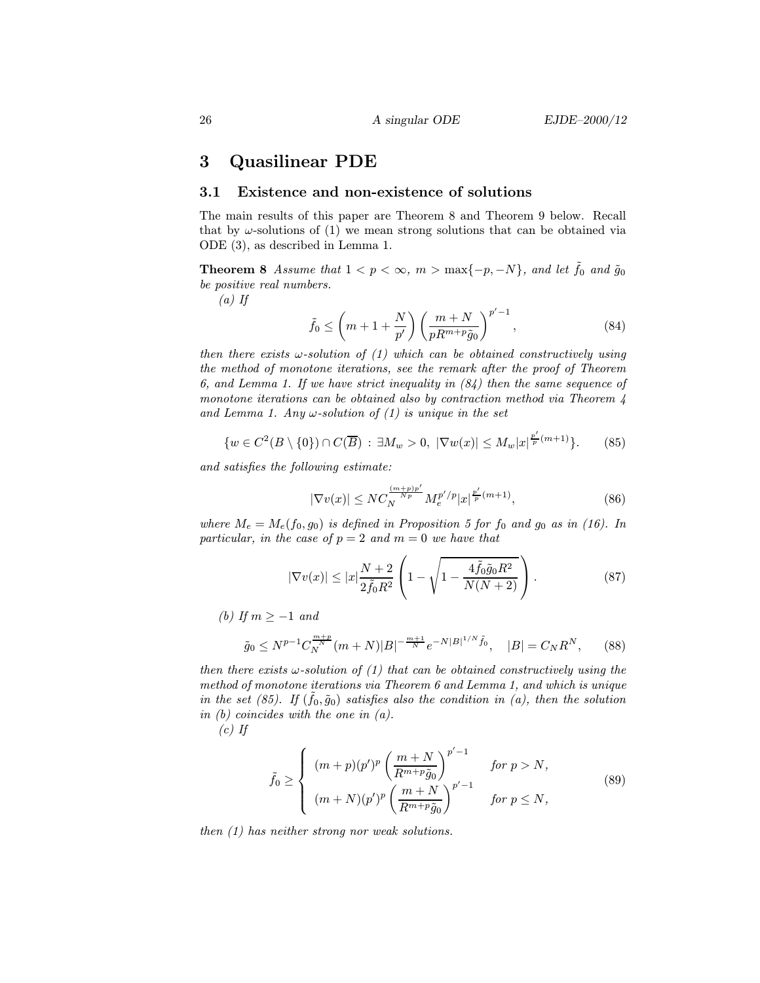# 3 Quasilinear PDE

### 3.1 Existence and non-existence of solutions

The main results of this paper are Theorem 8 and Theorem 9 below. Recall that by  $\omega$ -solutions of (1) we mean strong solutions that can be obtained via ODE (3), as described in Lemma 1.

**Theorem 8** Assume that  $1 < p < \infty$ ,  $m > \max\{-p, -N\}$ , and let  $\tilde{f}_0$  and  $\tilde{g}_0$ be positive real numbers.

 $(a)$  If

$$
\tilde{f}_0 \le \left(m+1+\frac{N}{p'}\right) \left(\frac{m+N}{pR^{m+p}\tilde{g}_0}\right)^{p'-1},\tag{84}
$$

then there exists  $\omega$ -solution of  $(1)$  which can be obtained constructively using the method of monotone iterations, see the remark after the proof of Theorem 6, and Lemma 1. If we have strict inequality in  $(84)$  then the same sequence of monotone iterations can be obtained also by contraction method via Theorem 4 and Lemma 1. Any  $\omega$ -solution of (1) is unique in the set

$$
\{w \in C^2(B \setminus \{0\}) \cap C(\overline{B}) : \exists M_w > 0, \ |\nabla w(x)| \le M_w |x|^{\frac{p'}{p}(m+1)}\}.
$$
 (85)

and satisfies the following estimate:

$$
|\nabla v(x)| \le NC_N^{\frac{(m+p)p'}{Np}} M_e^{p'/p} |x|^{\frac{p'}{p}(m+1)},\tag{86}
$$

where  $M_e = M_e(f_0, g_0)$  is defined in Proposition 5 for  $f_0$  and  $g_0$  as in (16). In particular, in the case of  $p = 2$  and  $m = 0$  we have that

$$
|\nabla v(x)| \le |x| \frac{N+2}{2\tilde{f}_0 R^2} \left( 1 - \sqrt{1 - \frac{4\tilde{f}_0 \tilde{g}_0 R^2}{N(N+2)}} \right). \tag{87}
$$

(b) If  $m > -1$  and

$$
\tilde{g}_0 \le N^{p-1} C_N^{\frac{m+p}{N}} (m+N)|B|^{-\frac{m+1}{N}} e^{-N|B|^{1/N} \tilde{f}_0}, \quad |B| = C_N R^N, \tag{88}
$$

then there exists  $\omega$ -solution of (1) that can be obtained constructively using the method of monotone iterations via Theorem 6 and Lemma 1, and which is unique in the set (85). If  $(f_0, \tilde{g}_0)$  satisfies also the condition in (a), then the solution in (b) coincides with the one in (a).

 $(c)$  If

$$
\tilde{f}_0 \ge \begin{cases}\n(m+p)(p')^p \left(\frac{m+N}{R^{m+p}\tilde{g}_0}\right)^{p'-1} & \text{for } p > N, \\
(m+N)(p')^p \left(\frac{m+N}{R^{m+p}\tilde{g}_0}\right)^{p'-1} & \text{for } p \le N,\n\end{cases}
$$
\n(89)

then (1) has neither strong nor weak solutions.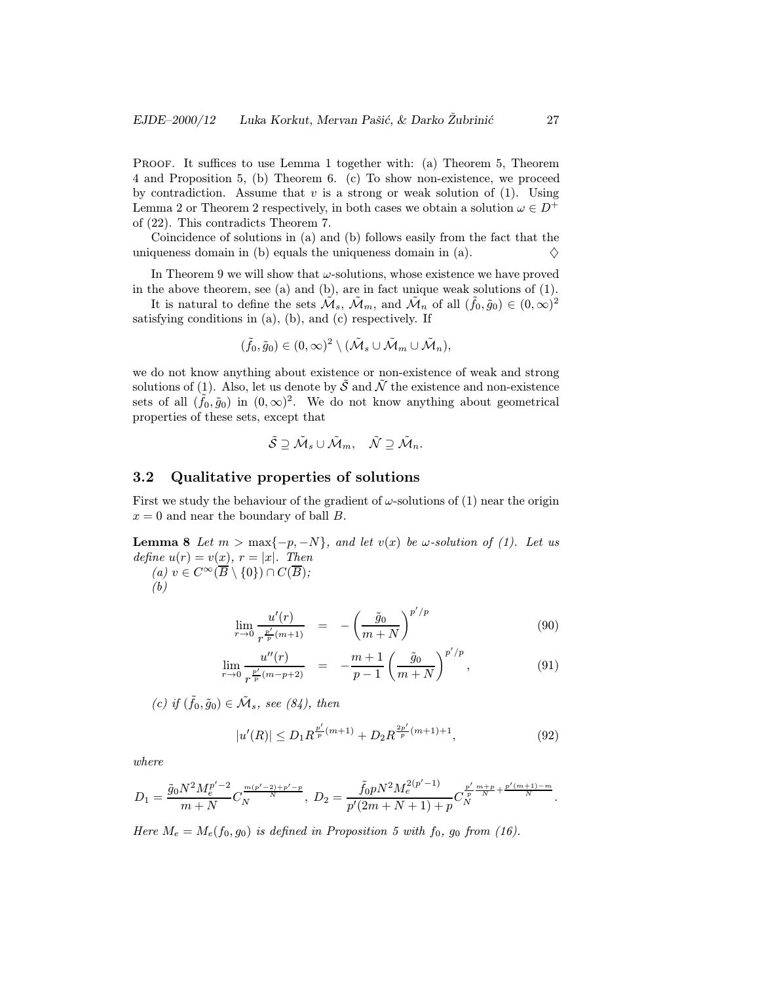PROOF. It suffices to use Lemma 1 together with: (a) Theorem 5, Theorem 4 and Proposition 5, (b) Theorem 6. (c) To show non-existence, we proceed by contradiction. Assume that v is a strong or weak solution of  $(1)$ . Using Lemma 2 or Theorem 2 respectively, in both cases we obtain a solution  $\omega\in D^+$ of (22). This contradicts Theorem 7.

Coincidence of solutions in (a) and (b) follows easily from the fact that the uniqueness domain in (b) equals the uniqueness domain in (a).  $\diamondsuit$ 

In Theorem 9 we will show that  $\omega$ -solutions, whose existence we have proved in the above theorem, see (a) and (b), are in fact unique weak solutions of (1).

It is natural to define the sets  $\mathcal{M}_s$ ,  $\mathcal{M}_m$ , and  $\mathcal{M}_n$  of all  $(\tilde{f}_0, \tilde{g}_0) \in (0, \infty)^2$ satisfying conditions in (a), (b), and (c) respectively. If

$$
(\tilde{f}_0,\tilde{g}_0)\in (0,\infty)^2\setminus (\tilde{\mathcal{M}}_s\cup \tilde{\mathcal{M}}_m\cup \tilde{\mathcal{M}}_n),
$$

we do not know anything about existence or non-existence of weak and strong solutions of (1). Also, let us denote by  $\tilde{S}$  and  $\tilde{N}$  the existence and non-existence sets of all  $({\tilde f}_0, {\tilde g}_0)$  in  $(0, \infty)^2$ . We do not know anything about geometrical properties of these sets, except that

$$
\tilde{\mathcal{S}}\supseteq\tilde{\mathcal{M}}_s\cup\tilde{\mathcal{M}}_m,\quad \tilde{\mathcal{N}}\supseteq\tilde{\mathcal{M}}_n.
$$

### 3.2 Qualitative properties of solutions

First we study the behaviour of the gradient of  $\omega$ -solutions of (1) near the origin  $x = 0$  and near the boundary of ball B.

**Lemma 8** Let  $m > \max\{-p, -N\}$ , and let  $v(x)$  be  $\omega$ -solution of (1). Let us define  $u(r) = v(x), r = |x|$ . Then (a)  $v \in C^{\infty}(\overline{B} \setminus \{0\}) \cap C(\overline{B});$ (b)

$$
\lim_{r \to 0} \frac{u'(r)}{r^{\frac{p'}{p}(m+1)}} = -\left(\frac{\tilde{g}_0}{m+N}\right)^{p'/p} \tag{90}
$$

$$
\lim_{r \to 0} \frac{u''(r)}{r^{\frac{p'}{p}(m-p+2)}} = -\frac{m+1}{p-1} \left(\frac{\tilde{g}_0}{m+N}\right)^{p'/p}, \tag{91}
$$

(c) if  $(\tilde{f}_0, \tilde{g}_0) \in \tilde{\mathcal{M}}_s$ , see (84), then

$$
|u'(R)| \le D_1 R^{\frac{p'}{p}(m+1)} + D_2 R^{\frac{2p'}{p}(m+1)+1},\tag{92}
$$

where

$$
D_1 = \frac{\tilde{g}_0 N^2 M_e^{p'-2}}{m+N} C_N^{\frac{m(p'-2)+p'-p}{N}}, \ D_2 = \frac{\tilde{f}_0 p N^2 M_e^{2(p'-1)}}{p'(2m+N+1)+p} C_N^{\frac{p'}{p}\frac{m+p}{N} + \frac{p'(m+1)-m}{N}}.
$$

Here  $M_e = M_e(f_0, g_0)$  is defined in Proposition 5 with  $f_0$ ,  $g_0$  from (16).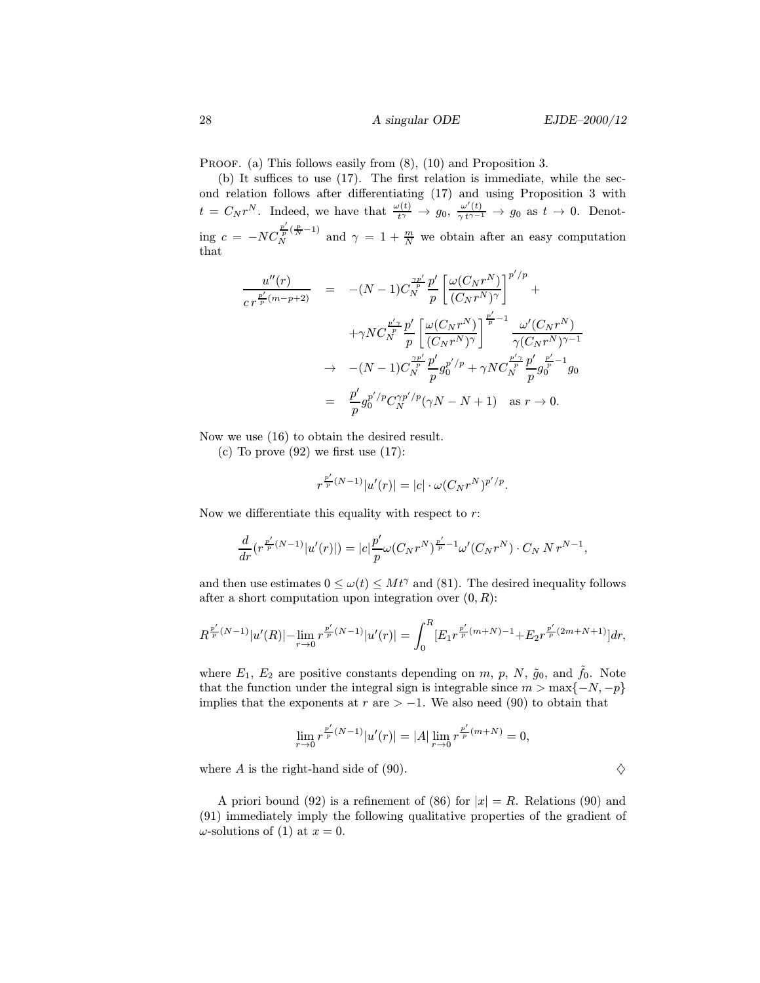PROOF. (a) This follows easily from  $(8)$ ,  $(10)$  and Proposition 3.

(b) It suffices to use (17). The first relation is immediate, while the second relation follows after differentiating (17) and using Proposition 3 with  $t = C_N r^N$ . Indeed, we have that  $\frac{\omega(t)}{t^{\gamma}} \to g_0$ ,  $\frac{\omega'(t)}{\gamma t^{\gamma-1}} \to g_0$  as  $t \to 0$ . Denoting  $c = -NC$  $\frac{p'}{p}(\frac{p}{N}-1)$  and  $\gamma = 1+\frac{m}{N}$  we obtain after an easy computation that

$$
\frac{u''(r)}{c r^{\frac{p'}{p}(m-p+2)}} = -(N-1)C_N^{\frac{\gamma p'}{p}} \frac{p'}{p} \left[ \frac{\omega(C_N r^N)}{(C_N r^N)^{\gamma}} \right]^{p'/p} +
$$
  

$$
+ \gamma NC_N^{\frac{p'\gamma}{p}} \frac{p'}{p} \left[ \frac{\omega(C_N r^N)}{(C_N r^N)^{\gamma}} \right]^{\frac{p'}{p}-1} \frac{\omega'(C_N r^N)}{\gamma(C_N r^N)^{\gamma-1}}
$$
  

$$
\to -(N-1)C_N^{\frac{\gamma p'}{p}} \frac{p'}{p} g_0^{p'/p} + \gamma NC_N^{\frac{p'\gamma}{p}} \frac{p'}{p} g_0^{\frac{p'}{p}-1} g_0
$$
  

$$
= \frac{p'}{p} g_0^{p'/p} C_N^{\gamma p'/p} (\gamma N - N + 1) \text{ as } r \to 0.
$$

Now we use (16) to obtain the desired result.

(c) To prove  $(92)$  we first use  $(17)$ :

$$
r^{\frac{p'}{p}(N-1)}|u'(r)| = |c| \cdot \omega(C_N r^N)^{p'/p}.
$$

Now we differentiate this equality with respect to  $r$ :

$$
\frac{d}{dr} (r^{\frac{p'}{p}(N-1)}|u'(r)|)= |c| \frac{p'}{p} \omega(C_N r^N)^{\frac{p'}{p}-1} \omega'(C_N r^N)\cdot C_N \, N \, r^{N-1},
$$

and then use estimates  $0 \leq \omega(t) \leq Mt^{\gamma}$  and (81). The desired inequality follows after a short computation upon integration over  $(0, R)$ :

$$
R^{\frac{p'}{p}(N-1)}|u'(R)|-\lim_{r\to 0}r^{\frac{p'}{p}(N-1)}|u'(r)|=\int_0^R [E_1r^{\frac{p'}{p}(m+N)-1}+E_2r^{\frac{p'}{p}(2m+N+1)}]dr,
$$

where  $E_1$ ,  $E_2$  are positive constants depending on m, p, N,  $\tilde{g}_0$ , and  $\tilde{f}_0$ . Note that the function under the integral sign is integrable since  $m > \max\{-N, -p\}$ implies that the exponents at  $r$  are  $> -1$ . We also need (90) to obtain that

$$
\lim_{r \to 0} r^{\frac{p'}{p}(N-1)} |u'(r)| = |A| \lim_{r \to 0} r^{\frac{p'}{p}(m+N)} = 0,
$$

where A is the right-hand side of (90).  $\diamondsuit$ 

A priori bound (92) is a refinement of (86) for  $|x| = R$ . Relations (90) and (91) immediately imply the following qualitative properties of the gradient of  $\omega$ -solutions of (1) at  $x = 0$ .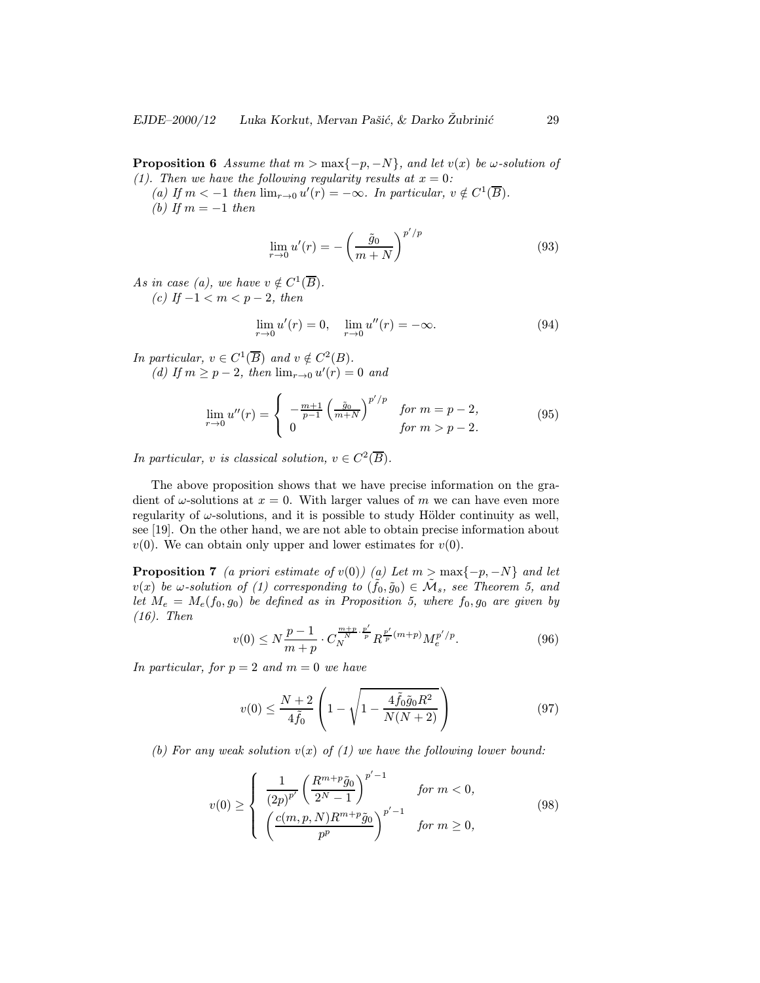**Proposition 6** Assume that  $m > max\{-p, -N\}$ , and let  $v(x)$  be  $\omega$ -solution of (1). Then we have the following regularity results at  $x = 0$ :

(a) If  $m < -1$  then  $\lim_{r \to 0} u'(r) = -\infty$ . In particular,  $v \notin C^1(\overline{B})$ . (b) If  $m = -1$  then

$$
\lim_{r \to 0} u'(r) = -\left(\frac{\tilde{g}_0}{m+N}\right)^{p'/p} \tag{93}
$$

As in case (a), we have  $v \notin C^1(\overline{B})$ . (c) If  $-1 < m < p - 2$ , then

$$
\lim_{r \to 0} u'(r) = 0, \quad \lim_{r \to 0} u''(r) = -\infty.
$$
\n(94)

In particular,  $v \in C^1(\overline{B})$  and  $v \notin C^2(B)$ . (d) If  $m \ge p-2$ , then  $\lim_{r\to 0} u'(r) = 0$  and

$$
\lim_{r \to 0} u''(r) = \begin{cases} -\frac{m+1}{p-1} \left( \frac{\tilde{g}_0}{m+N} \right)^{p'/p} & \text{for } m = p-2, \\ 0 & \text{for } m > p-2. \end{cases}
$$
(95)

In particular, v is classical solution,  $v \in C^2(\overline{B})$ .

The above proposition shows that we have precise information on the gradient of  $\omega$ -solutions at  $x = 0$ . With larger values of m we can have even more regularity of  $\omega$ -solutions, and it is possible to study Hölder continuity as well, see [19]. On the other hand, we are not able to obtain precise information about  $v(0)$ . We can obtain only upper and lower estimates for  $v(0)$ .

**Proposition 7** (a priori estimate of v(0)) (a) Let  $m > max\{-p, -N\}$  and let  $v(x)$  be  $\omega$ -solution of (1) corresponding to  $(\tilde{f}_0, \tilde{g}_0) \in \tilde{\mathcal{M}}_s$ , see Theorem 5, and let  $M_e = M_e(f_0, g_0)$  be defined as in Proposition 5, where  $f_0, g_0$  are given by (16). Then

$$
v(0) \le N \frac{p-1}{m+p} \cdot C_N^{\frac{m+p}{N} \cdot \frac{p'}{p}} R^{\frac{p'}{p}(m+p)} M_e^{p'/p}.
$$
 (96)

In particular, for  $p = 2$  and  $m = 0$  we have

$$
v(0) \le \frac{N+2}{4\tilde{f}_0} \left( 1 - \sqrt{1 - \frac{4\tilde{f}_0 \tilde{g}_0 R^2}{N(N+2)}} \right) \tag{97}
$$

(b) For any weak solution  $v(x)$  of (1) we have the following lower bound:

$$
v(0) \ge \begin{cases} \frac{1}{(2p)^{p'}} \left(\frac{R^{m+p}\tilde{g}_0}{2^N-1}\right)^{p'-1} & \text{for } m < 0, \\ \left(\frac{c(m,p,N)R^{m+p}\tilde{g}_0}{p^p}\right)^{p'-1} & \text{for } m \ge 0, \end{cases}
$$
(98)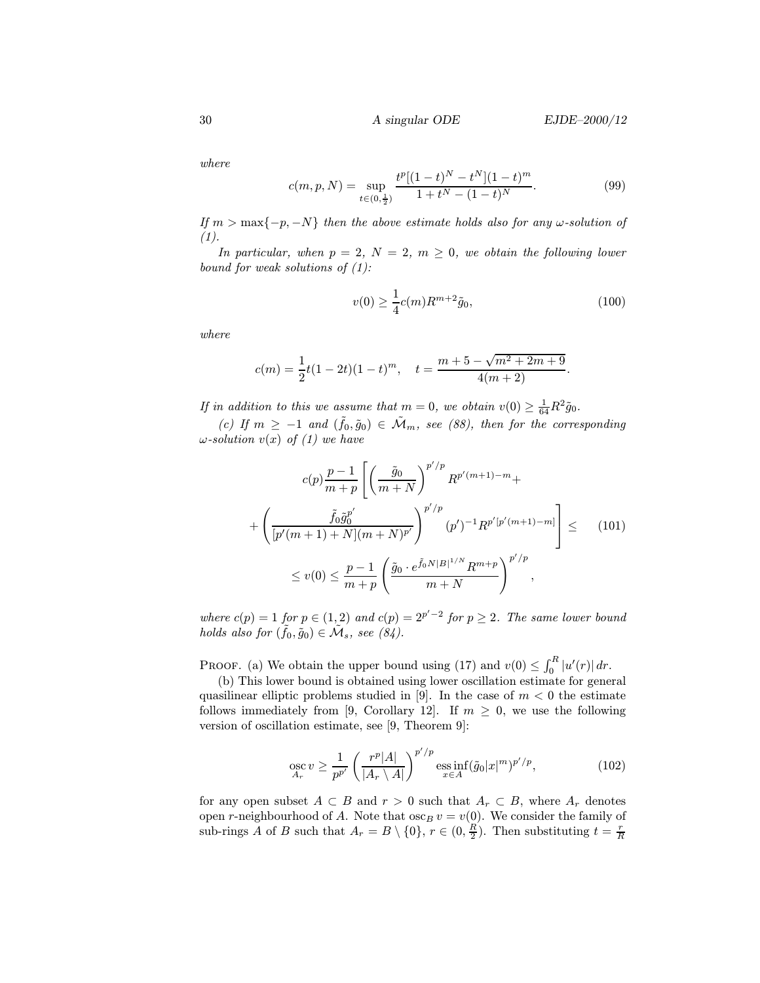where

$$
c(m, p, N) = \sup_{t \in (0, \frac{1}{2})} \frac{t^p [(1-t)^N - t^N](1-t)^m}{1 + t^N - (1-t)^N}.
$$
 (99)

If  $m > \max\{-p, -N\}$  then the above estimate holds also for any  $\omega$ -solution of  $(1).$ 

In particular, when  $p = 2$ ,  $N = 2$ ,  $m \geq 0$ , we obtain the following lower bound for weak solutions of  $(1)$ :

$$
v(0) \ge \frac{1}{4}c(m)R^{m+2}\tilde{g}_0,
$$
\n(100)

where

$$
c(m) = \frac{1}{2}t(1-2t)(1-t)^m, \quad t = \frac{m+5-\sqrt{m^2+2m+9}}{4(m+2)}.
$$

If in addition to this we assume that  $m = 0$ , we obtain  $v(0) \geq \frac{1}{64}R^2 \tilde{g}_0$ .

(c) If  $m \ge -1$  and  $(\tilde{f}_0, \tilde{g}_0) \in \tilde{\mathcal{M}}_m$ , see (88), then for the corresponding  $\omega$ -solution  $v(x)$  of (1) we have

$$
c(p)\frac{p-1}{m+p} \left[ \left( \frac{\tilde{g}_0}{m+N} \right)^{p'/p} R^{p'(m+1)-m} + \left( \frac{\tilde{f}_0 \tilde{g}_0^{p'}}{[p'(m+1)+N](m+N)^{p'}} \right)^{p'/p} (p')^{-1} R^{p'[p'(m+1)-m]} \right] \leq (101)
$$
  

$$
\leq v(0) \leq \frac{p-1}{m+p} \left( \frac{\tilde{g}_0 \cdot e^{\tilde{f}_0 N|B|^{1/N}} R^{m+p}}{m+N} \right)^{p'/p},
$$

where  $c(p) = 1$  for  $p \in (1,2)$  and  $c(p) = 2^{p'-2}$  for  $p \ge 2$ . The same lower bound holds also for  $(\tilde{f}_0, \tilde{g}_0) \in \tilde{\mathcal{M}}_s$ , see  $(84)$ .

PROOF. (a) We obtain the upper bound using (17) and  $v(0) \leq \int_0^R |u'(r)| dr$ .

(b) This lower bound is obtained using lower oscillation estimate for general quasilinear elliptic problems studied in [9]. In the case of  $m < 0$  the estimate follows immediately from [9, Corollary 12]. If  $m \geq 0$ , we use the following version of oscillation estimate, see [9, Theorem 9]:

$$
\underset{A_r}{\text{osc}} \, v \ge \frac{1}{p^{p'}} \left( \frac{r^p |A|}{|A_r \setminus A|} \right)^{p'/p} \underset{x \in A}{\text{ess inf}} (\tilde{g}_0 |x|^m)^{p'/p},\tag{102}
$$

for any open subset  $A \subset B$  and  $r > 0$  such that  $A_r \subset B$ , where  $A_r$  denotes open r-neighbourhood of A. Note that  $\csc_B v = v(0)$ . We consider the family of sub-rings A of B such that  $A_r = B \setminus \{0\}$ ,  $r \in (0, \frac{R}{2})$ . Then substituting  $t = \frac{r}{R}$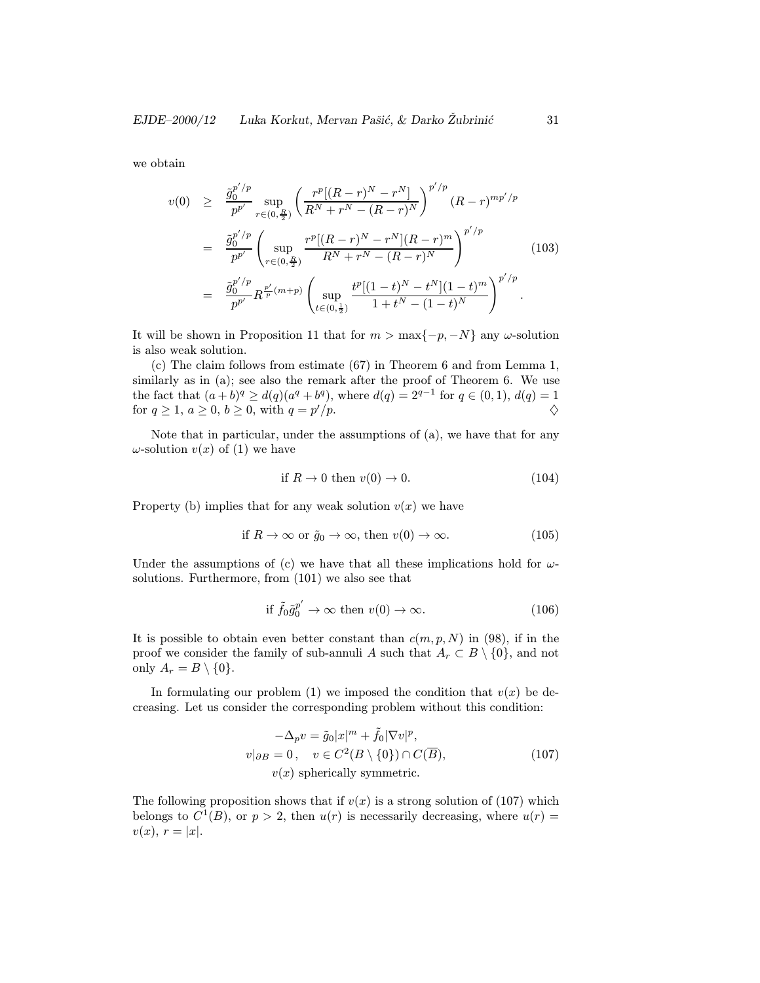we obtain

$$
v(0) \geq \frac{\tilde{g}_0^{p'/p}}{p^{p'}} \sup_{r \in (0, \frac{R}{2})} \left( \frac{r^p [(R-r)^N - r^N]}{R^N + r^N - (R-r)^N} \right)^{p'/p} (R-r)^{mp'/p}
$$
  
\n
$$
= \frac{\tilde{g}_0^{p'/p}}{p^{p'}} \left( \sup_{r \in (0, \frac{R}{2})} \frac{r^p [(R-r)^N - r^N](R-r)^m}{R^N + r^N - (R-r)^N} \right)^{p'/p}
$$
(103)  
\n
$$
= \frac{\tilde{g}_0^{p'/p}}{p^{p'}} R^{\frac{p'}{p}(m+p)} \left( \sup_{t \in (0, \frac{1}{2})} \frac{t^p [(1-t)^N - t^N](1-t)^m}{1 + t^N - (1-t)^N} \right)^{p'/p}.
$$

It will be shown in Proposition 11 that for  $m > \max\{-p, -N\}$  any  $\omega$ -solution is also weak solution.

(c) The claim follows from estimate (67) in Theorem 6 and from Lemma 1, similarly as in (a); see also the remark after the proof of Theorem 6. We use the fact that  $(a + b)^q \ge d(q)(a^q + b^q)$ , where  $d(q) = 2^{q-1}$  for  $q \in (0, 1)$ ,  $d(q) = 1$ for  $q \ge 1$ ,  $a \ge 0$ ,  $b \ge 0$ , with  $q = p'/p$ .  $/p.$ 

Note that in particular, under the assumptions of (a), we have that for any  $\omega$ -solution  $v(x)$  of (1) we have

$$
\text{if } R \to 0 \text{ then } v(0) \to 0. \tag{104}
$$

Property (b) implies that for any weak solution  $v(x)$  we have

if 
$$
R \to \infty
$$
 or  $\tilde{g}_0 \to \infty$ , then  $v(0) \to \infty$ . (105)

Under the assumptions of (c) we have that all these implications hold for  $\omega$ solutions. Furthermore, from (101) we also see that

$$
\text{if } \tilde{f}_0 \tilde{g}_0^{p'} \to \infty \text{ then } v(0) \to \infty. \tag{106}
$$

It is possible to obtain even better constant than  $c(m, p, N)$  in (98), if in the proof we consider the family of sub-annuli A such that  $A_r \subset B \setminus \{0\}$ , and not only  $A_r = B \setminus \{0\}.$ 

In formulating our problem (1) we imposed the condition that  $v(x)$  be decreasing. Let us consider the corresponding problem without this condition:

$$
-\Delta_p v = \tilde{g}_0 |x|^m + \tilde{f}_0 |\nabla v|^p,
$$
  
\n
$$
v|_{\partial B} = 0, \quad v \in C^2(B \setminus \{0\}) \cap C(\overline{B}),
$$
  
\n
$$
v(x) \text{ spherically symmetric.}
$$
\n(107)

The following proposition shows that if  $v(x)$  is a strong solution of (107) which belongs to  $C^1(B)$ , or  $p > 2$ , then  $u(r)$  is necessarily decreasing, where  $u(r) =$  $v(x), r = |x|.$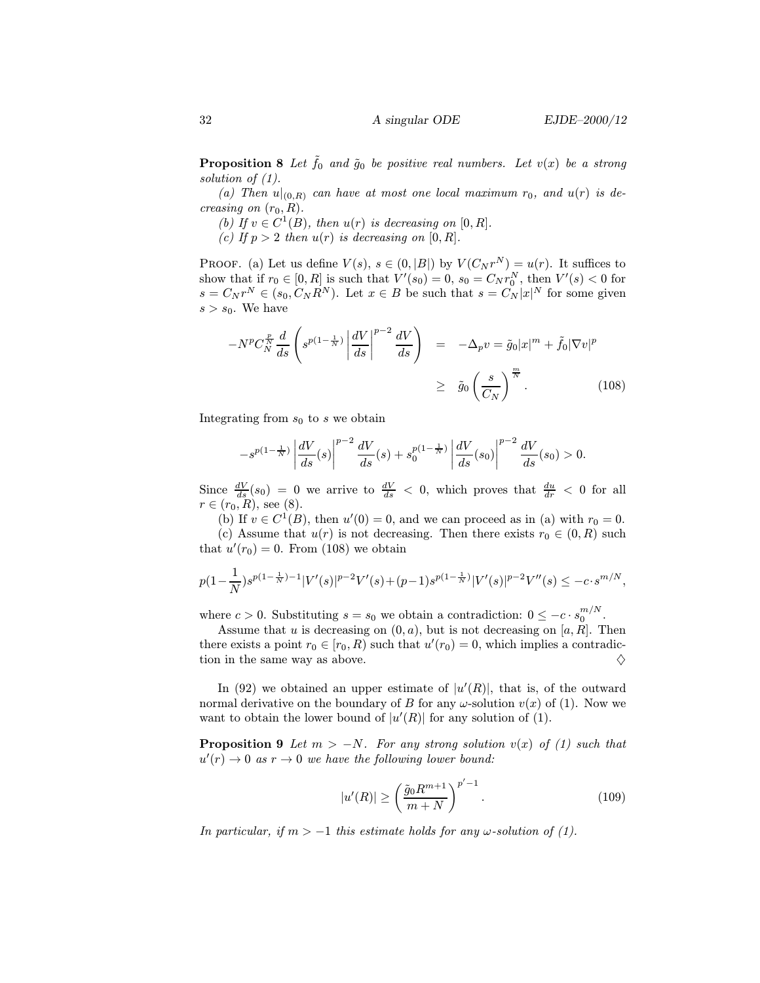**Proposition 8** Let  $\tilde{f}_0$  and  $\tilde{g}_0$  be positive real numbers. Let  $v(x)$  be a strong solution of (1).

(a) Then  $u|_{(0,R)}$  can have at most one local maximum  $r_0$ , and  $u(r)$  is decreasing on  $(r_0, R)$ .

(b) If  $v \in C^1(B)$ , then  $u(r)$  is decreasing on  $[0, R]$ .

(c) If  $p > 2$  then  $u(r)$  is decreasing on  $[0, R]$ .

PROOF. (a) Let us define  $V(s)$ ,  $s \in (0, |B|)$  by  $V(C_N r^N) = u(r)$ . It suffices to show that if  $r_0 \in [0, R]$  is such that  $V'(s_0) = 0$ ,  $s_0 = C_N r_0^N$ , then  $V'(s) < 0$  for  $s = C_N r^N \in (s_0, C_N R^N)$ . Let  $x \in B$  be such that  $s = C_N |x|^N$  for some given  $s>s_0$ . We have

$$
-N^{p}C_{N}^{\frac{p}{N}}\frac{d}{ds}\left(s^{p(1-\frac{1}{N})}\left|\frac{dV}{ds}\right|^{p-2}\frac{dV}{ds}\right) = -\Delta_{p}v = \tilde{g}_{0}|x|^{m} + \tilde{f}_{0}|\nabla v|^{p}
$$

$$
\geq \tilde{g}_{0}\left(\frac{s}{C_{N}}\right)^{\frac{m}{N}}.
$$
(108)

Integrating from  $s_0$  to s we obtain

$$
-s^{p(1-\frac{1}{N})}\left|\frac{dV}{ds}(s)\right|^{p-2}\frac{dV}{ds}(s)+s_0^{p(1-\frac{1}{N})}\left|\frac{dV}{ds}(s_0)\right|^{p-2}\frac{dV}{ds}(s_0) > 0.
$$

Since  $\frac{dV}{ds}(s_0) = 0$  we arrive to  $\frac{dV}{ds} < 0$ , which proves that  $\frac{du}{dr} < 0$  for all  $r \in (r_0, R)$ , see (8).

(b) If  $v \in C^1(B)$ , then  $u'(0) = 0$ , and we can proceed as in (a) with  $r_0 = 0$ . (c) Assume that  $u(r)$  is not decreasing. Then there exists  $r_0 \in (0, R)$  such

that  $u'(r_0) = 0$ . From (108) we obtain

$$
p(1 - \frac{1}{N})s^{p(1 - \frac{1}{N}) - 1}|V'(s)|^{p-2}V'(s) + (p-1)s^{p(1 - \frac{1}{N})}|V'(s)|^{p-2}V''(s) \leq -c \cdot s^{m/N},
$$

where  $c > 0$ . Substituting  $s = s_0$  we obtain a contradiction:  $0 \leq -c \cdot s_0^{m/N}$ .

Assume that u is decreasing on  $(0, a)$ , but is not decreasing on [a, R]. Then there exists a point  $r_0 \in [r_0, R)$  such that  $u'(r_0) = 0$ , which implies a contradiction in the same way as above.  $\Diamond$ 

In (92) we obtained an upper estimate of  $|u'(R)|$ , that is, of the outward normal derivative on the boundary of B for any  $\omega$ -solution  $v(x)$  of (1). Now we want to obtain the lower bound of  $|u'(R)|$  for any solution of (1).

**Proposition 9** Let  $m > -N$ . For any strong solution  $v(x)$  of (1) such that  $u'(r) \to 0$  as  $r \to 0$  we have the following lower bound:

$$
|u'(R)| \ge \left(\frac{\tilde{g}_0 R^{m+1}}{m+N}\right)^{p'-1}.\tag{109}
$$

In particular, if  $m > -1$  this estimate holds for any  $\omega$ -solution of (1).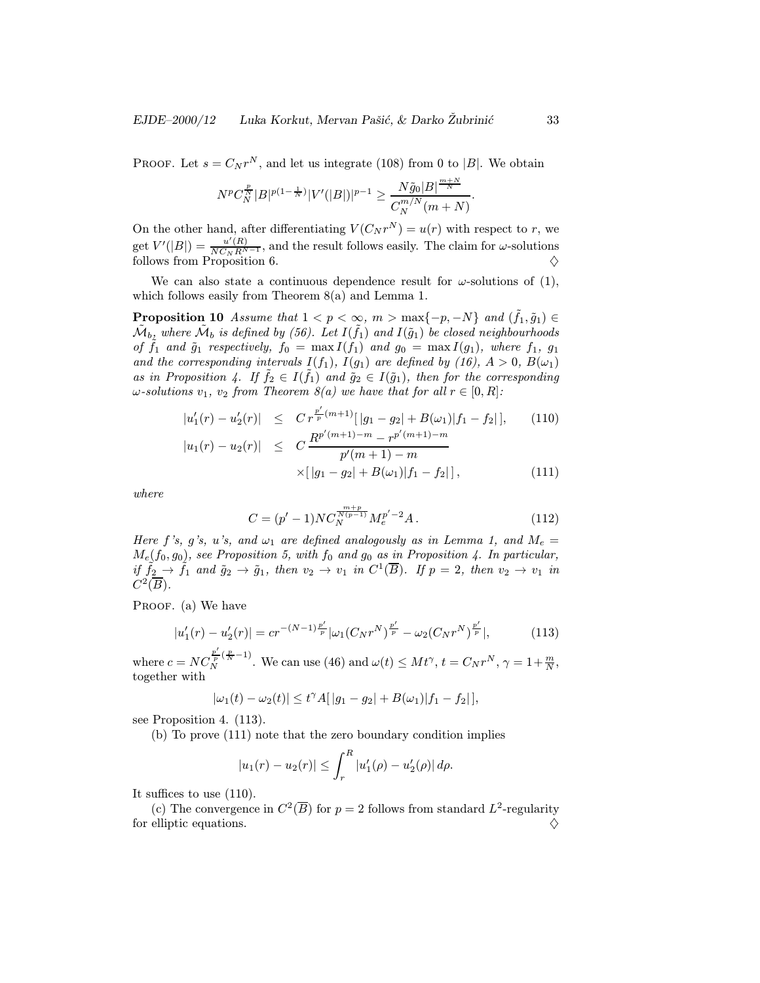PROOF. Let  $s = C_N r^N$ , and let us integrate (108) from 0 to |B|. We obtain

$$
N^p C_N^{\frac{p}{N}} |B|^{p(1-\frac{1}{N})} |V'(|B|)|^{p-1} \geq \frac{N\tilde{g}_0|B|^{\frac{m+N}{N}}}{C_N^{m/N}(m+N)}.
$$

On the other hand, after differentiating  $V(C_N r^N) = u(r)$  with respect to r, we get  $V'(|B|) = \frac{u'(R)}{NC_N R^{N-1}}$ , and the result follows easily. The claim for  $\omega$ -solutions follows from Proposition 6.  $\Diamond$ 

We can also state a continuous dependence result for  $\omega$ -solutions of (1), which follows easily from Theorem 8(a) and Lemma 1.

**Proposition 10** Assume that  $1 < p < \infty$ ,  $m > \max\{-p, -N\}$  and  $(\tilde{f}_1, \tilde{g}_1) \in$  $\tilde{\mathcal{M}}_b$ , where  $\tilde{\mathcal{M}}_b$  is defined by (56). Let  $I(\tilde{f}_1)$  and  $I(\tilde{g}_1)$  be closed neighbourhoods of  $\tilde{f}_1$  and  $\tilde{g}_1$  respectively,  $f_0 = \max I(f_1)$  and  $g_0 = \max I(g_1)$ , where  $f_1$ ,  $g_1$ and the corresponding intervals  $I(f_1)$ ,  $I(g_1)$  are defined by  $(16)$ ,  $A > 0$ ,  $B(\omega_1)$ as in Proposition 4. If  $f_2 \in I(f_1)$  and  $\tilde{g}_2 \in I(\tilde{g}_1)$ , then for the corresponding  $\omega$ -solutions  $v_1, v_2$  from Theorem  $\mathcal{S}(a)$  we have that for all  $r \in [0, R]$ :

$$
|u'_1(r) - u'_2(r)| \leq C r^{\frac{p'}{p}(m+1)}[|g_1 - g_2| + B(\omega_1)|f_1 - f_2|], \qquad (110)
$$
  

$$
|u_1(r) - u_2(r)| \leq C \frac{R^{p'(m+1)-m} - r^{p'(m+1)-m}}{p'(m+1)-m}
$$
  

$$
\times [|g_1 - g_2| + B(\omega_1)|f_1 - f_2|], \qquad (111)
$$

where

$$
C = (p'-1)NC_N^{\frac{m+p}{N(p-1)}}M_e^{p'-2}A.
$$
\n(112)

Here f's, g's, u's, and  $\omega_1$  are defined analogously as in Lemma 1, and  $M_e =$  $M_e(f_0, g_0)$ , see Proposition 5, with  $f_0$  and  $g_0$  as in Proposition 4. In particular, if  $\tilde{f}_2 \rightarrow \tilde{f}_1$  and  $\tilde{g}_2 \rightarrow \tilde{g}_1$ , then  $v_2 \rightarrow v_1$  in  $C^1(\overline{B})$ . If  $p = 2$ , then  $v_2 \rightarrow v_1$  in  $C^2(\overline{B})$ .

PROOF. (a) We have

$$
|u_1'(r) - u_2'(r)| = cr^{-(N-1)\frac{p'}{p}} |\omega_1(C_N r^N)^{\frac{p'}{p}} - \omega_2(C_N r^N)^{\frac{p'}{p}}|,\tag{113}
$$

where  $c = NC_N^{\frac{p'}{p}(\frac{p}{N}-1)}$ . We can use (46) and  $\omega(t) \leq Mt^{\gamma}$ ,  $t = C_N r^N$ ,  $\gamma = 1 + \frac{m}{N}$ , together with

$$
|\omega_1(t) - \omega_2(t)| \le t^{\gamma} A[|g_1 - g_2| + B(\omega_1)|f_1 - f_2|],
$$

see Proposition 4. (113).

(b) To prove (111) note that the zero boundary condition implies

$$
|u_1(r) - u_2(r)| \leq \int_r^R |u'_1(\rho) - u'_2(\rho)| d\rho.
$$

It suffices to use (110).

(c) The convergence in  $C^2(\overline{B})$  for  $p = 2$  follows from standard  $L^2$ -regularity for elliptic equations.  $\Diamond$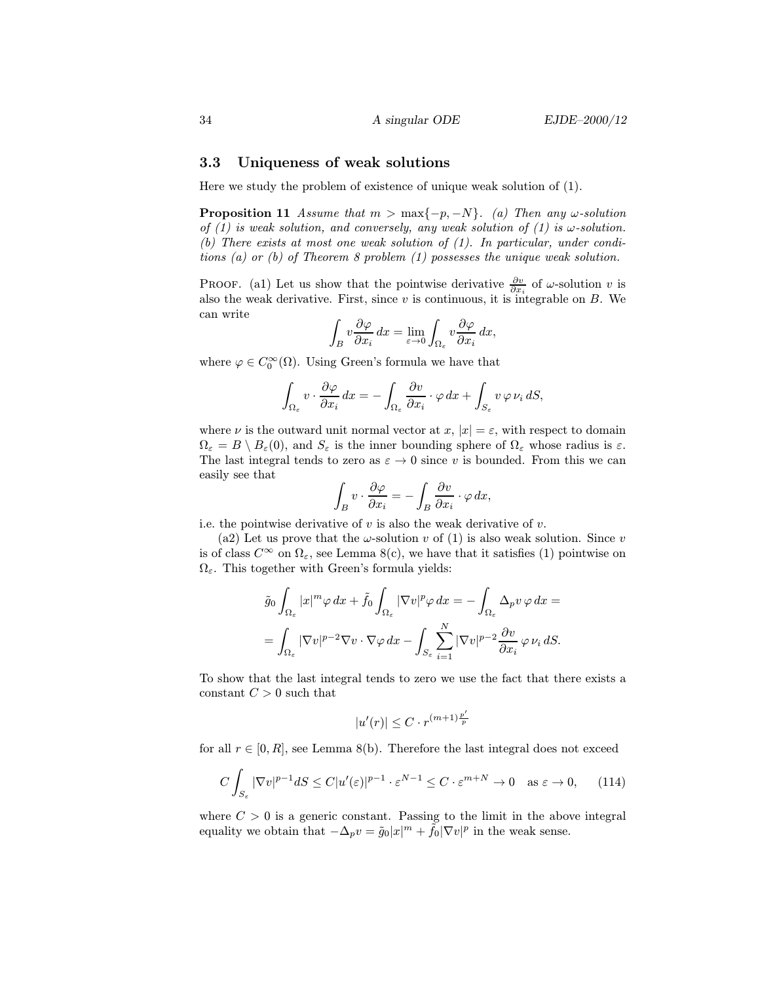# 3.3 Uniqueness of weak solutions

Here we study the problem of existence of unique weak solution of (1).

**Proposition 11** Assume that  $m > \max\{-p, -N\}$ . (a) Then any  $\omega$ -solution of (1) is weak solution, and conversely, any weak solution of (1) is  $\omega$ -solution. (b) There exists at most one weak solution of (1). In particular, under conditions (a) or (b) of Theorem 8 problem (1) possesses the unique weak solution.

PROOF. (a1) Let us show that the pointwise derivative  $\frac{\partial v}{\partial x_i}$  of  $\omega$ -solution v is also the weak derivative. First, since  $v$  is continuous, it is integrable on  $B$ . We can write

$$
\int_B v \frac{\partial \varphi}{\partial x_i} dx = \lim_{\varepsilon \to 0} \int_{\Omega_{\varepsilon}} v \frac{\partial \varphi}{\partial x_i} dx,
$$

where  $\varphi \in C_0^{\infty}(\Omega)$ . Using Green's formula we have that

$$
\int_{\Omega_{\varepsilon}} v \cdot \frac{\partial \varphi}{\partial x_i} dx = - \int_{\Omega_{\varepsilon}} \frac{\partial v}{\partial x_i} \cdot \varphi dx + \int_{S_{\varepsilon}} v \varphi \nu_i dS,
$$

where  $\nu$  is the outward unit normal vector at  $x, |x| = \varepsilon$ , with respect to domain  $\Omega_{\varepsilon} = B \setminus B_{\varepsilon}(0)$ , and  $S_{\varepsilon}$  is the inner bounding sphere of  $\Omega_{\varepsilon}$  whose radius is  $\varepsilon$ . The last integral tends to zero as  $\varepsilon \to 0$  since v is bounded. From this we can easily see that

$$
\int_B v \cdot \frac{\partial \varphi}{\partial x_i} = -\int_B \frac{\partial v}{\partial x_i} \cdot \varphi \, dx,
$$

i.e. the pointwise derivative of  $v$  is also the weak derivative of  $v$ .

(a2) Let us prove that the  $\omega$ -solution v of (1) is also weak solution. Since v is of class  $C^{\infty}$  on  $\Omega_{\varepsilon}$ , see Lemma 8(c), we have that it satisfies (1) pointwise on  $\Omega_{\varepsilon}$ . This together with Green's formula yields:

$$
\tilde{g}_0 \int_{\Omega_{\varepsilon}} |x|^m \varphi \, dx + \tilde{f}_0 \int_{\Omega_{\varepsilon}} |\nabla v|^p \varphi \, dx = - \int_{\Omega_{\varepsilon}} \Delta_p v \, \varphi \, dx =
$$

$$
= \int_{\Omega_{\varepsilon}} |\nabla v|^{p-2} \nabla v \cdot \nabla \varphi \, dx - \int_{S_{\varepsilon}} \sum_{i=1}^N |\nabla v|^{p-2} \frac{\partial v}{\partial x_i} \, \varphi \, \nu_i \, dS.
$$

To show that the last integral tends to zero we use the fact that there exists a constant  $C > 0$  such that

$$
|u'(r)| \leq C \cdot r^{(m+1)\frac{p'}{p}}
$$

for all  $r \in [0, R]$ , see Lemma 8(b). Therefore the last integral does not exceed

$$
C\int_{S_{\varepsilon}} |\nabla v|^{p-1} dS \le C|u'(\varepsilon)|^{p-1} \cdot \varepsilon^{N-1} \le C \cdot \varepsilon^{m+N} \to 0 \quad \text{as } \varepsilon \to 0,
$$
 (114)

where  $C > 0$  is a generic constant. Passing to the limit in the above integral equality we obtain that  $-\Delta_p v = \tilde{g}_0 |x|^m + \tilde{f}_0 |\nabla v|^p$  in the weak sense.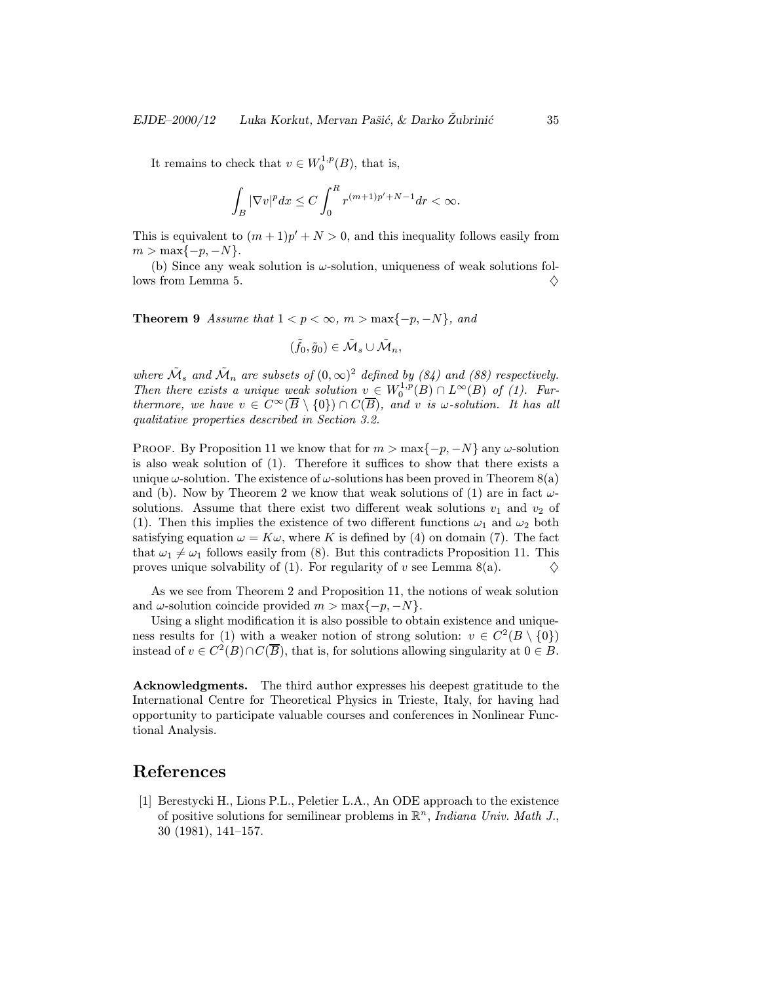It remains to check that  $v \in W_0^{1,p}(B)$ , that is,

$$
\int_B|\nabla v|^pdx\leq C\int_0^R r^{(m+1)p'+N-1}dr<\infty.
$$

This is equivalent to  $(m + 1)p' + N > 0$ , and this inequality follows easily from  $m > \max\{-p, -N\}.$ 

(b) Since any weak solution is  $\omega$ -solution, uniqueness of weak solutions follows from Lemma 5.  $\Diamond$ 

**Theorem 9** Assume that  $1 < p < \infty$ ,  $m > \max\{-p, -N\}$ , and

$$
(\tilde{f}_0,\tilde{g}_0)\in \tilde{\mathcal{M}}_s\cup \tilde{\mathcal{M}}_n,
$$

where  $\tilde{\mathcal{M}}_s$  and  $\tilde{\mathcal{M}}_n$  are subsets of  $(0,\infty)^2$  defined by (84) and (88) respectively. Then there exists a unique weak solution  $v \in W_0^{1,p}(B) \cap L^{\infty}(B)$  of (1). Furthermore, we have  $v \in C^{\infty}(\overline{B} \setminus \{0\}) \cap C(\overline{B})$ , and v is  $\omega$ -solution. It has all qualitative properties described in Section 3.2.

PROOF. By Proposition 11 we know that for  $m > \max\{-p, -N\}$  any  $\omega$ -solution is also weak solution of (1). Therefore it suffices to show that there exists a unique  $\omega$ -solution. The existence of  $\omega$ -solutions has been proved in Theorem 8(a) and (b). Now by Theorem 2 we know that weak solutions of (1) are in fact  $\omega$ solutions. Assume that there exist two different weak solutions  $v_1$  and  $v_2$  of (1). Then this implies the existence of two different functions  $\omega_1$  and  $\omega_2$  both satisfying equation  $\omega = K\omega$ , where K is defined by (4) on domain (7). The fact that  $\omega_1 \neq \omega_1$  follows easily from (8). But this contradicts Proposition 11. This proves unique solvability of (1). For regularity of v see Lemma 8(a).  $\Diamond$ 

As we see from Theorem 2 and Proposition 11, the notions of weak solution and  $\omega$ -solution coincide provided  $m > \max\{-p, -N\}.$ 

Using a slight modification it is also possible to obtain existence and uniqueness results for (1) with a weaker notion of strong solution:  $v \in C^2(B \setminus \{0\})$ instead of  $v \in C^2(B) \cap C(\overline{B})$ , that is, for solutions allowing singularity at  $0 \in B$ .

Acknowledgments. The third author expresses his deepest gratitude to the International Centre for Theoretical Physics in Trieste, Italy, for having had opportunity to participate valuable courses and conferences in Nonlinear Functional Analysis.

# References

[1] Berestycki H., Lions P.L., Peletier L.A., An ODE approach to the existence of positive solutions for semilinear problems in  $\mathbb{R}^n$ , *Indiana Univ. Math J.*, 30 (1981), 141–157.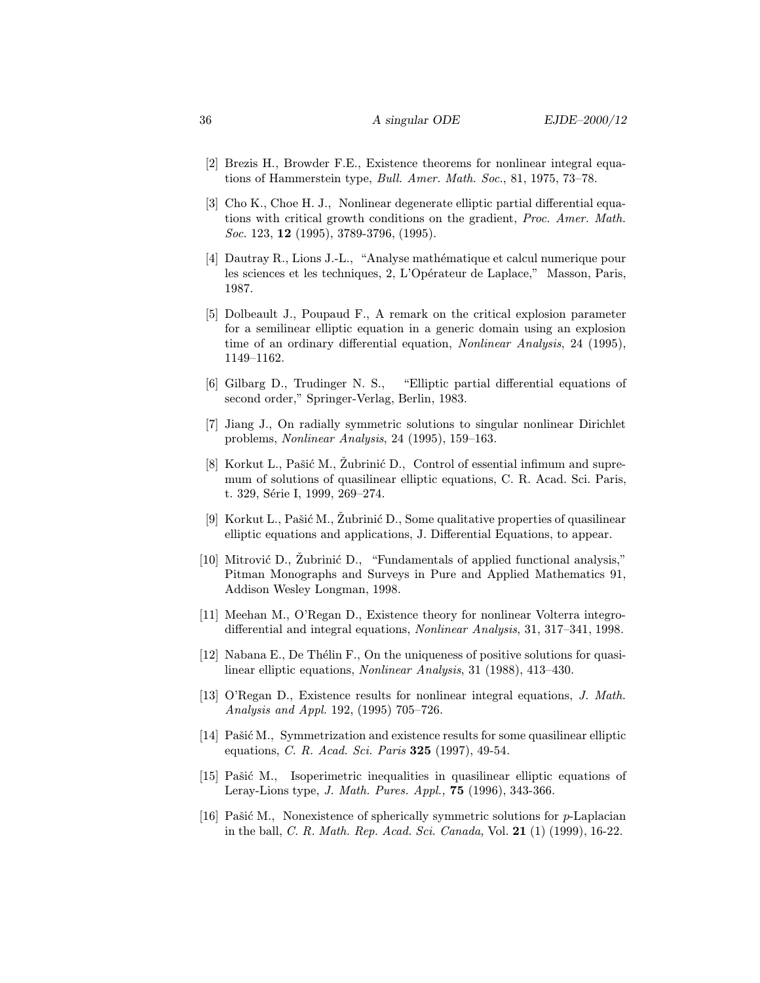- [2] Brezis H., Browder F.E., Existence theorems for nonlinear integral equations of Hammerstein type, Bull. Amer. Math. Soc., 81, 1975, 73–78.
- [3] Cho K., Choe H. J., Nonlinear degenerate elliptic partial differential equations with critical growth conditions on the gradient, Proc. Amer. Math. Soc. 123, **12** (1995), 3789-3796, (1995).
- [4] Dautray R., Lions J.-L., "Analyse math´ematique et calcul numerique pour les sciences et les techniques, 2, L'Opérateur de Laplace," Masson, Paris, 1987.
- [5] Dolbeault J., Poupaud F., A remark on the critical explosion parameter for a semilinear elliptic equation in a generic domain using an explosion time of an ordinary differential equation, Nonlinear Analysis, 24 (1995), 1149–1162.
- [6] Gilbarg D., Trudinger N. S., "Elliptic partial differential equations of second order," Springer-Verlag, Berlin, 1983.
- [7] Jiang J., On radially symmetric solutions to singular nonlinear Dirichlet problems, Nonlinear Analysis, 24 (1995), 159–163.
- [8] Korkut L., Pašić M., Žubrinić D., Control of essential infimum and supremum of solutions of quasilinear elliptic equations, C. R. Acad. Sci. Paris, t. 329, Série I, 1999, 269–274.
- [9] Korkut L., Pašić M., Žubrinić D., Some qualitative properties of quasilinear elliptic equations and applications, J. Differential Equations, to appear.
- [10] Mitrović D., Zubrinić D., "Fundamentals of applied functional analysis," Pitman Monographs and Surveys in Pure and Applied Mathematics 91, Addison Wesley Longman, 1998.
- [11] Meehan M., O'Regan D., Existence theory for nonlinear Volterra integrodifferential and integral equations, Nonlinear Analysis, 31, 317–341, 1998.
- [12] Nabana E., De Thélin F., On the uniqueness of positive solutions for quasilinear elliptic equations, Nonlinear Analysis, 31 (1988), 413–430.
- [13] O'Regan D., Existence results for nonlinear integral equations, J. Math. Analysis and Appl. 192, (1995) 705–726.
- [14] Pašić M., Symmetrization and existence results for some quasilinear elliptic equations, *C. R. Acad. Sci. Paris* **325** (1997), 49-54.
- [15] Pašić M., Isoperimetric inequalities in quasilinear elliptic equations of Leray-Lions type, J. Math. Pures. Appl., 75 (1996), 343-366.
- [16] Pašić M., Nonexistence of spherically symmetric solutions for  $p$ -Laplacian in the ball, *C. R. Math. Rep. Acad. Sci. Canada*, Vol. **21** (1) (1999), 16-22.